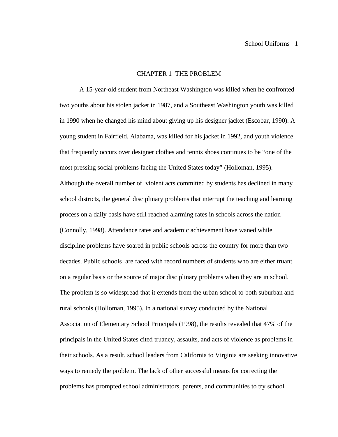## CHAPTER 1 THE PROBLEM

A 15-year-old student from Northeast Washington was killed when he confronted two youths about his stolen jacket in 1987, and a Southeast Washington youth was killed in 1990 when he changed his mind about giving up his designer jacket (Escobar, 1990). A young student in Fairfield, Alabama, was killed for his jacket in 1992, and youth violence that frequently occurs over designer clothes and tennis shoes continues to be "one of the most pressing social problems facing the United States today" (Holloman, 1995). Although the overall number of violent acts committed by students has declined in many school districts, the general disciplinary problems that interrupt the teaching and learning process on a daily basis have still reached alarming rates in schools across the nation (Connolly, 1998). Attendance rates and academic achievement have waned while discipline problems have soared in public schools across the country for more than two decades. Public schools are faced with record numbers of students who are either truant on a regular basis or the source of major disciplinary problems when they are in school. The problem is so widespread that it extends from the urban school to both suburban and rural schools (Holloman, 1995). In a national survey conducted by the National Association of Elementary School Principals (1998), the results revealed that 47% of the principals in the United States cited truancy, assaults, and acts of violence as problems in their schools. As a result, school leaders from California to Virginia are seeking innovative ways to remedy the problem. The lack of other successful means for correcting the problems has prompted school administrators, parents, and communities to try school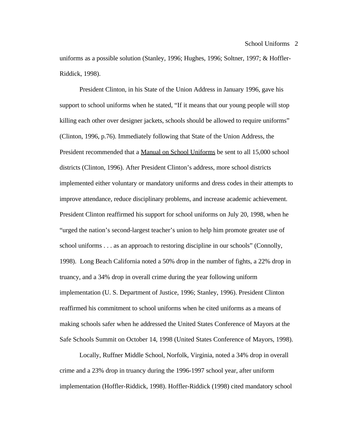uniforms as a possible solution (Stanley, 1996; Hughes, 1996; Soltner, 1997; & Hoffler-Riddick, 1998).

President Clinton, in his State of the Union Address in January 1996, gave his support to school uniforms when he stated, "If it means that our young people will stop killing each other over designer jackets, schools should be allowed to require uniforms" (Clinton, 1996, p.76). Immediately following that State of the Union Address, the President recommended that a Manual on School Uniforms be sent to all 15,000 school districts (Clinton, 1996). After President Clinton's address, more school districts implemented either voluntary or mandatory uniforms and dress codes in their attempts to improve attendance, reduce disciplinary problems, and increase academic achievement. President Clinton reaffirmed his support for school uniforms on July 20, 1998, when he "urged the nation's second-largest teacher's union to help him promote greater use of school uniforms . . . as an approach to restoring discipline in our schools" (Connolly, 1998). Long Beach California noted a 50% drop in the number of fights, a 22% drop in truancy, and a 34% drop in overall crime during the year following uniform implementation (U. S. Department of Justice, 1996; Stanley, 1996). President Clinton reaffirmed his commitment to school uniforms when he cited uniforms as a means of making schools safer when he addressed the United States Conference of Mayors at the Safe Schools Summit on October 14, 1998 (United States Conference of Mayors, 1998).

Locally, Ruffner Middle School, Norfolk, Virginia, noted a 34% drop in overall crime and a 23% drop in truancy during the 1996-1997 school year, after uniform implementation (Hoffler-Riddick, 1998). Hoffler-Riddick (1998) cited mandatory school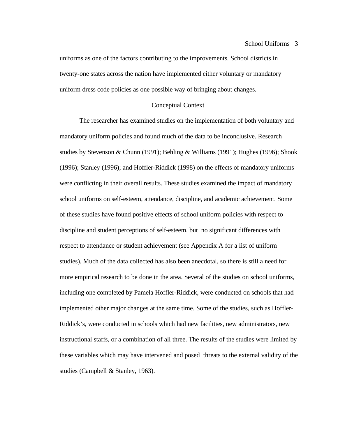uniforms as one of the factors contributing to the improvements. School districts in twenty-one states across the nation have implemented either voluntary or mandatory uniform dress code policies as one possible way of bringing about changes.

#### Conceptual Context

The researcher has examined studies on the implementation of both voluntary and mandatory uniform policies and found much of the data to be inconclusive. Research studies by Stevenson & Chunn (1991); Behling & Williams (1991); Hughes (1996); Shook (1996); Stanley (1996); and Hoffler-Riddick (1998) on the effects of mandatory uniforms were conflicting in their overall results. These studies examined the impact of mandatory school uniforms on self-esteem, attendance, discipline, and academic achievement. Some of these studies have found positive effects of school uniform policies with respect to discipline and student perceptions of self-esteem, but no significant differences with respect to attendance or student achievement (see Appendix A for a list of uniform studies). Much of the data collected has also been anecdotal, so there is still a need for more empirical research to be done in the area. Several of the studies on school uniforms, including one completed by Pamela Hoffler-Riddick, were conducted on schools that had implemented other major changes at the same time. Some of the studies, such as Hoffler-Riddick's, were conducted in schools which had new facilities, new administrators, new instructional staffs, or a combination of all three. The results of the studies were limited by these variables which may have intervened and posed threats to the external validity of the studies (Campbell & Stanley, 1963).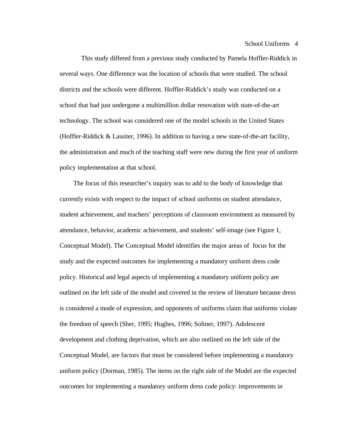This study differed from a previous study conducted by Pamela Hoffler-Riddick in several ways. One difference was the location of schools that were studied. The school districts and the schools were different. Hoffler-Riddick's study was conducted on a school that had just undergone a multimillion dollar renovation with state-of-the-art technology. The school was considered one of the model schools in the United States (Hoffler-Riddick & Lassiter, 1996). In addition to having a new state-of-the-art facility, the administration and much of the teaching staff were new during the first year of uniform policy implementation at that school.

 The focus of this researcher's inquiry was to add to the body of knowledge that currently exists with respect to the impact of school uniforms on student attendance, student achievement, and teachers' perceptions of classroom environment as measured by attendance, behavior, academic achievement, and students' self-image (see Figure 1, Conceptual Model). The Conceptual Model identifies the major areas of focus for the study and the expected outcomes for implementing a mandatory uniform dress code policy. Historical and legal aspects of implementing a mandatory uniform policy are outlined on the left side of the model and covered in the review of literature because dress is considered a mode of expression, and opponents of uniforms claim that uniforms violate the freedom of speech (Sher, 1995; Hughes, 1996; Soltner, 1997). Adolescent development and clothing deprivation, which are also outlined on the left side of the Conceptual Model, are factors that must be considered before implementing a mandatory uniform policy (Dorman, 1985). The items on the right side of the Model are the expected outcomes for implementing a mandatory uniform dress code policy: improvements in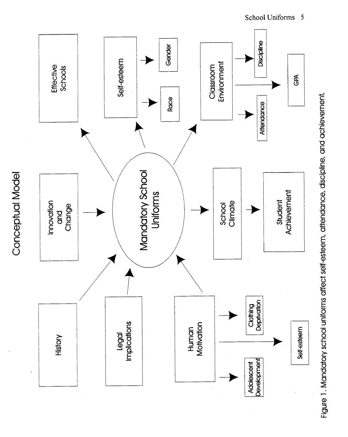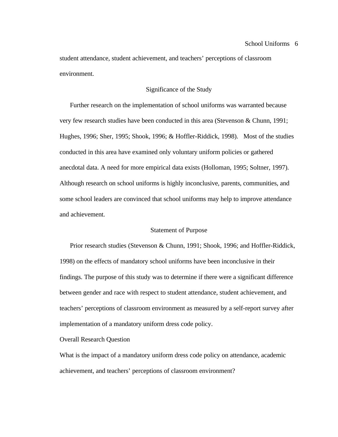student attendance, student achievement, and teachers' perceptions of classroom environment.

## Significance of the Study

 Further research on the implementation of school uniforms was warranted because very few research studies have been conducted in this area (Stevenson & Chunn, 1991; Hughes, 1996; Sher, 1995; Shook, 1996; & Hoffler-Riddick, 1998). Most of the studies conducted in this area have examined only voluntary uniform policies or gathered anecdotal data. A need for more empirical data exists (Holloman, 1995; Soltner, 1997). Although research on school uniforms is highly inconclusive, parents, communities, and some school leaders are convinced that school uniforms may help to improve attendance and achievement.

#### Statement of Purpose

 Prior research studies (Stevenson & Chunn, 1991; Shook, 1996; and Hoffler-Riddick, 1998) on the effects of mandatory school uniforms have been inconclusive in their findings. The purpose of this study was to determine if there were a significant difference between gender and race with respect to student attendance, student achievement, and teachers' perceptions of classroom environment as measured by a self-report survey after implementation of a mandatory uniform dress code policy.

### Overall Research Question

What is the impact of a mandatory uniform dress code policy on attendance, academic achievement, and teachers' perceptions of classroom environment?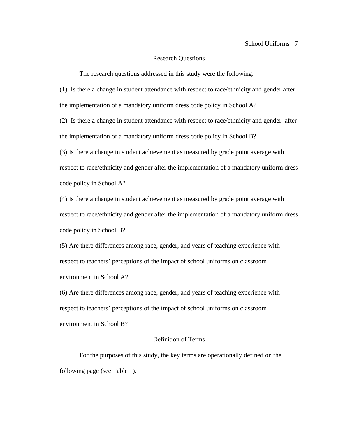### Research Questions

The research questions addressed in this study were the following:

(1) Is there a change in student attendance with respect to race/ethnicity and gender after the implementation of a mandatory uniform dress code policy in School A?

(2) Is there a change in student attendance with respect to race/ethnicity and gender after the implementation of a mandatory uniform dress code policy in School B?

(3) Is there a change in student achievement as measured by grade point average with respect to race/ethnicity and gender after the implementation of a mandatory uniform dress code policy in School A?

(4) Is there a change in student achievement as measured by grade point average with respect to race/ethnicity and gender after the implementation of a mandatory uniform dress code policy in School B?

(5) Are there differences among race, gender, and years of teaching experience with respect to teachers' perceptions of the impact of school uniforms on classroom environment in School A?

(6) Are there differences among race, gender, and years of teaching experience with respect to teachers' perceptions of the impact of school uniforms on classroom environment in School B?

## Definition of Terms

For the purposes of this study, the key terms are operationally defined on the following page (see Table 1).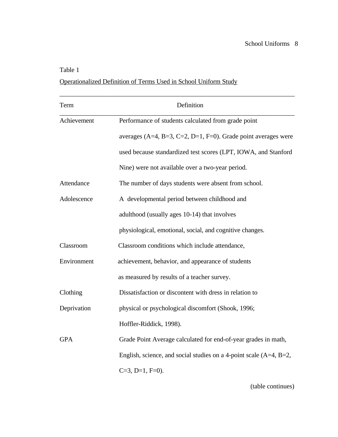## Table 1

## Operationalized Definition of Terms Used in School Uniform Study

| Term        | Definition                                                           |
|-------------|----------------------------------------------------------------------|
| Achievement | Performance of students calculated from grade point                  |
|             | averages (A=4, B=3, C=2, D=1, F=0). Grade point averages were        |
|             | used because standardized test scores (LPT, IOWA, and Stanford       |
|             | Nine) were not available over a two-year period.                     |
| Attendance  | The number of days students were absent from school.                 |
| Adolescence | A developmental period between childhood and                         |
|             | adulthood (usually ages 10-14) that involves                         |
|             | physiological, emotional, social, and cognitive changes.             |
| Classroom   | Classroom conditions which include attendance,                       |
| Environment | achievement, behavior, and appearance of students                    |
|             | as measured by results of a teacher survey.                          |
| Clothing    | Dissatisfaction or discontent with dress in relation to              |
| Deprivation | physical or psychological discomfort (Shook, 1996;                   |
|             | Hoffler-Riddick, 1998).                                              |
| <b>GPA</b>  | Grade Point Average calculated for end-of-year grades in math,       |
|             | English, science, and social studies on a 4-point scale $(A=4, B=2,$ |
|             | $C=3$ , D=1, F=0).                                                   |

(table continues)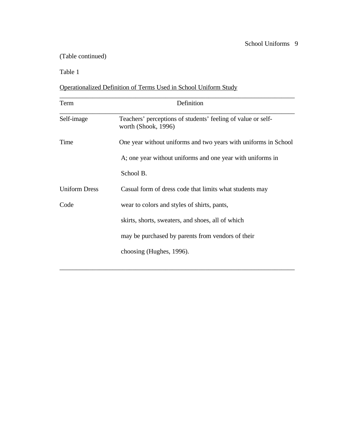## (Table continued)

Table 1

## Operationalized Definition of Terms Used in School Uniform Study

| Term                 | Definition                                                                          |  |  |  |  |  |  |
|----------------------|-------------------------------------------------------------------------------------|--|--|--|--|--|--|
| Self-image           | Teachers' perceptions of students' feeling of value or self-<br>worth (Shook, 1996) |  |  |  |  |  |  |
| Time                 | One year without uniforms and two years with uniforms in School                     |  |  |  |  |  |  |
|                      | A; one year without uniforms and one year with uniforms in                          |  |  |  |  |  |  |
|                      | School B.                                                                           |  |  |  |  |  |  |
| <b>Uniform Dress</b> | Casual form of dress code that limits what students may                             |  |  |  |  |  |  |
| Code                 | wear to colors and styles of shirts, pants,                                         |  |  |  |  |  |  |
|                      | skirts, shorts, sweaters, and shoes, all of which                                   |  |  |  |  |  |  |
|                      | may be purchased by parents from vendors of their                                   |  |  |  |  |  |  |
|                      | choosing (Hughes, 1996).                                                            |  |  |  |  |  |  |
|                      |                                                                                     |  |  |  |  |  |  |

\_\_\_\_\_\_\_\_\_\_\_\_\_\_\_\_\_\_\_\_\_\_\_\_\_\_\_\_\_\_\_\_\_\_\_\_\_\_\_\_\_\_\_\_\_\_\_\_\_\_\_\_\_\_\_\_\_\_\_\_\_\_\_\_\_\_\_\_\_\_\_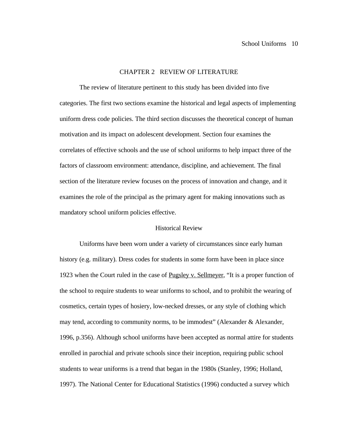#### CHAPTER 2 REVIEW OF LITERATURE

The review of literature pertinent to this study has been divided into five categories. The first two sections examine the historical and legal aspects of implementing uniform dress code policies. The third section discusses the theoretical concept of human motivation and its impact on adolescent development. Section four examines the correlates of effective schools and the use of school uniforms to help impact three of the factors of classroom environment: attendance, discipline, and achievement. The final section of the literature review focuses on the process of innovation and change, and it examines the role of the principal as the primary agent for making innovations such as mandatory school uniform policies effective.

## Historical Review

Uniforms have been worn under a variety of circumstances since early human history (e.g. military). Dress codes for students in some form have been in place since 1923 when the Court ruled in the case of Pugsley v. Sellmeyer, "It is a proper function of the school to require students to wear uniforms to school, and to prohibit the wearing of cosmetics, certain types of hosiery, low-necked dresses, or any style of clothing which may tend, according to community norms, to be immodest" (Alexander & Alexander, 1996, p.356). Although school uniforms have been accepted as normal attire for students enrolled in parochial and private schools since their inception, requiring public school students to wear uniforms is a trend that began in the 1980s (Stanley, 1996; Holland, 1997). The National Center for Educational Statistics (1996) conducted a survey which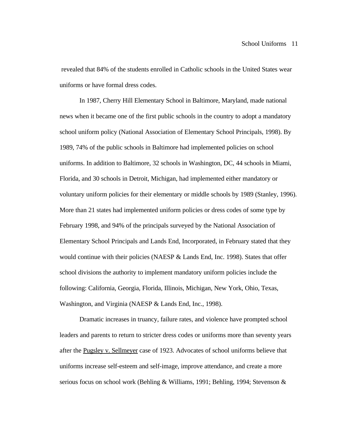revealed that 84% of the students enrolled in Catholic schools in the United States wear uniforms or have formal dress codes.

 In 1987, Cherry Hill Elementary School in Baltimore, Maryland, made national news when it became one of the first public schools in the country to adopt a mandatory school uniform policy (National Association of Elementary School Principals, 1998). By 1989, 74% of the public schools in Baltimore had implemented policies on school uniforms. In addition to Baltimore, 32 schools in Washington, DC, 44 schools in Miami, Florida, and 30 schools in Detroit, Michigan, had implemented either mandatory or voluntary uniform policies for their elementary or middle schools by 1989 (Stanley, 1996). More than 21 states had implemented uniform policies or dress codes of some type by February 1998, and 94% of the principals surveyed by the National Association of Elementary School Principals and Lands End, Incorporated, in February stated that they would continue with their policies (NAESP & Lands End, Inc. 1998). States that offer school divisions the authority to implement mandatory uniform policies include the following: California, Georgia, Florida, Illinois, Michigan, New York, Ohio, Texas, Washington, and Virginia (NAESP & Lands End, Inc., 1998).

Dramatic increases in truancy, failure rates, and violence have prompted school leaders and parents to return to stricter dress codes or uniforms more than seventy years after the Pugsley v. Sellmeyer case of 1923. Advocates of school uniforms believe that uniforms increase self-esteem and self-image, improve attendance, and create a more serious focus on school work (Behling & Williams, 1991; Behling, 1994; Stevenson &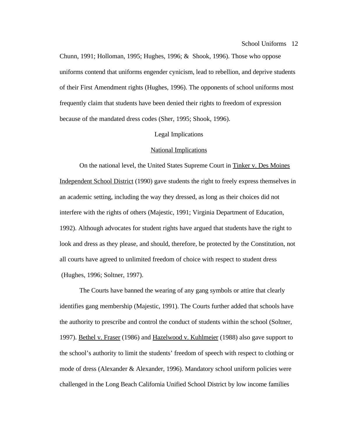Chunn, 1991; Holloman, 1995; Hughes, 1996; & Shook, 1996). Those who oppose uniforms contend that uniforms engender cynicism, lead to rebellion, and deprive students of their First Amendment rights (Hughes, 1996). The opponents of school uniforms most frequently claim that students have been denied their rights to freedom of expression because of the mandated dress codes (Sher, 1995; Shook, 1996).

### Legal Implications

### National Implications

On the national level, the United States Supreme Court in Tinker v. Des Moines Independent School District (1990) gave students the right to freely express themselves in an academic setting, including the way they dressed, as long as their choices did not interfere with the rights of others (Majestic, 1991; Virginia Department of Education, 1992). Although advocates for student rights have argued that students have the right to look and dress as they please, and should, therefore, be protected by the Constitution, not all courts have agreed to unlimited freedom of choice with respect to student dress (Hughes, 1996; Soltner, 1997).

The Courts have banned the wearing of any gang symbols or attire that clearly identifies gang membership (Majestic, 1991). The Courts further added that schools have the authority to prescribe and control the conduct of students within the school (Soltner, 1997). Bethel v. Fraser (1986) and Hazelwood v. Kuhlmeier (1988) also gave support to the school's authority to limit the students' freedom of speech with respect to clothing or mode of dress (Alexander & Alexander, 1996). Mandatory school uniform policies were challenged in the Long Beach California Unified School District by low income families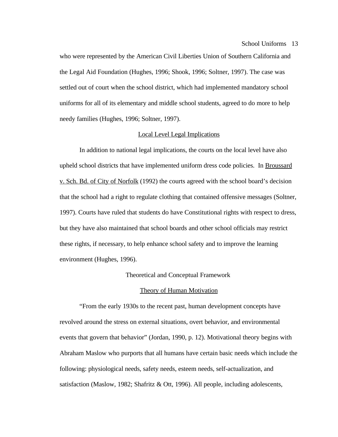who were represented by the American Civil Liberties Union of Southern California and the Legal Aid Foundation (Hughes, 1996; Shook, 1996; Soltner, 1997). The case was settled out of court when the school district, which had implemented mandatory school uniforms for all of its elementary and middle school students, agreed to do more to help needy families (Hughes, 1996; Soltner, 1997).

### Local Level Legal Implications

In addition to national legal implications, the courts on the local level have also upheld school districts that have implemented uniform dress code policies. In Broussard v. Sch. Bd. of City of Norfolk (1992) the courts agreed with the school board's decision that the school had a right to regulate clothing that contained offensive messages (Soltner, 1997). Courts have ruled that students do have Constitutional rights with respect to dress, but they have also maintained that school boards and other school officials may restrict these rights, if necessary, to help enhance school safety and to improve the learning environment (Hughes, 1996).

#### Theoretical and Conceptual Framework

## Theory of Human Motivation

"From the early 1930s to the recent past, human development concepts have revolved around the stress on external situations, overt behavior, and environmental events that govern that behavior" (Jordan, 1990, p. 12). Motivational theory begins with Abraham Maslow who purports that all humans have certain basic needs which include the following: physiological needs, safety needs, esteem needs, self-actualization, and satisfaction (Maslow, 1982; Shafritz & Ott, 1996). All people, including adolescents,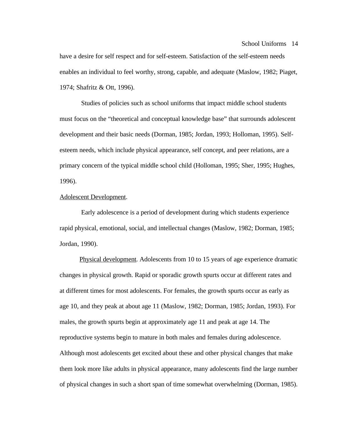have a desire for self respect and for self-esteem. Satisfaction of the self-esteem needs enables an individual to feel worthy, strong, capable, and adequate (Maslow, 1982; Piaget, 1974; Shafritz & Ott, 1996).

 Studies of policies such as school uniforms that impact middle school students must focus on the "theoretical and conceptual knowledge base" that surrounds adolescent development and their basic needs (Dorman, 1985; Jordan, 1993; Holloman, 1995). Selfesteem needs, which include physical appearance, self concept, and peer relations, are a primary concern of the typical middle school child (Holloman, 1995; Sher, 1995; Hughes, 1996).

## Adolescent Development.

 Early adolescence is a period of development during which students experience rapid physical, emotional, social, and intellectual changes (Maslow, 1982; Dorman, 1985; Jordan, 1990).

Physical development. Adolescents from 10 to 15 years of age experience dramatic changes in physical growth. Rapid or sporadic growth spurts occur at different rates and at different times for most adolescents. For females, the growth spurts occur as early as age 10, and they peak at about age 11 (Maslow, 1982; Dorman, 1985; Jordan, 1993). For males, the growth spurts begin at approximately age 11 and peak at age 14. The reproductive systems begin to mature in both males and females during adolescence. Although most adolescents get excited about these and other physical changes that make them look more like adults in physical appearance, many adolescents find the large number of physical changes in such a short span of time somewhat overwhelming (Dorman, 1985).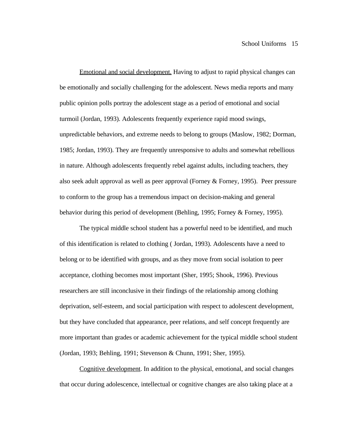Emotional and social development. Having to adjust to rapid physical changes can be emotionally and socially challenging for the adolescent. News media reports and many public opinion polls portray the adolescent stage as a period of emotional and social turmoil (Jordan, 1993). Adolescents frequently experience rapid mood swings, unpredictable behaviors, and extreme needs to belong to groups (Maslow, 1982; Dorman, 1985; Jordan, 1993). They are frequently unresponsive to adults and somewhat rebellious in nature. Although adolescents frequently rebel against adults, including teachers, they also seek adult approval as well as peer approval (Forney & Forney, 1995). Peer pressure to conform to the group has a tremendous impact on decision-making and general behavior during this period of development (Behling, 1995; Forney & Forney, 1995).

The typical middle school student has a powerful need to be identified, and much of this identification is related to clothing ( Jordan, 1993). Adolescents have a need to belong or to be identified with groups, and as they move from social isolation to peer acceptance, clothing becomes most important (Sher, 1995; Shook, 1996). Previous researchers are still inconclusive in their findings of the relationship among clothing deprivation, self-esteem, and social participation with respect to adolescent development, but they have concluded that appearance, peer relations, and self concept frequently are more important than grades or academic achievement for the typical middle school student (Jordan, 1993; Behling, 1991; Stevenson & Chunn, 1991; Sher, 1995).

Cognitive development. In addition to the physical, emotional, and social changes that occur during adolescence, intellectual or cognitive changes are also taking place at a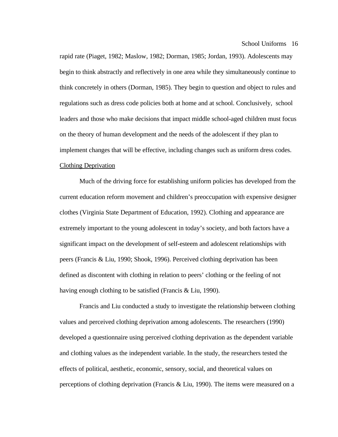rapid rate (Piaget, 1982; Maslow, 1982; Dorman, 1985; Jordan, 1993). Adolescents may begin to think abstractly and reflectively in one area while they simultaneously continue to think concretely in others (Dorman, 1985). They begin to question and object to rules and regulations such as dress code policies both at home and at school. Conclusively, school leaders and those who make decisions that impact middle school-aged children must focus on the theory of human development and the needs of the adolescent if they plan to implement changes that will be effective, including changes such as uniform dress codes. Clothing Deprivation

Much of the driving force for establishing uniform policies has developed from the current education reform movement and children's preoccupation with expensive designer clothes (Virginia State Department of Education, 1992). Clothing and appearance are extremely important to the young adolescent in today's society, and both factors have a significant impact on the development of self-esteem and adolescent relationships with peers (Francis & Liu, 1990; Shook, 1996). Perceived clothing deprivation has been defined as discontent with clothing in relation to peers' clothing or the feeling of not having enough clothing to be satisfied (Francis & Liu, 1990).

Francis and Liu conducted a study to investigate the relationship between clothing values and perceived clothing deprivation among adolescents. The researchers (1990) developed a questionnaire using perceived clothing deprivation as the dependent variable and clothing values as the independent variable. In the study, the researchers tested the effects of political, aesthetic, economic, sensory, social, and theoretical values on perceptions of clothing deprivation (Francis & Liu, 1990). The items were measured on a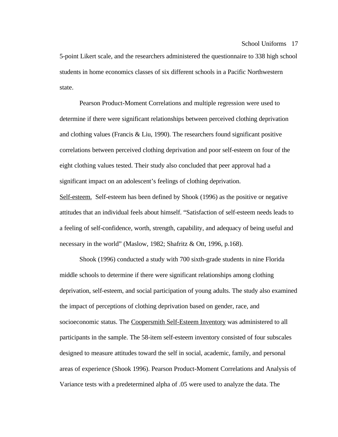5-point Likert scale, and the researchers administered the questionnaire to 338 high school students in home economics classes of six different schools in a Pacific Northwestern state.

Pearson Product-Moment Correlations and multiple regression were used to determine if there were significant relationships between perceived clothing deprivation and clothing values (Francis & Liu, 1990). The researchers found significant positive correlations between perceived clothing deprivation and poor self-esteem on four of the eight clothing values tested. Their study also concluded that peer approval had a significant impact on an adolescent's feelings of clothing deprivation.

Self-esteem. Self-esteem has been defined by Shook (1996) as the positive or negative attitudes that an individual feels about himself. "Satisfaction of self-esteem needs leads to a feeling of self-confidence, worth, strength, capability, and adequacy of being useful and necessary in the world" (Maslow, 1982; Shafritz & Ott, 1996, p.168).

Shook (1996) conducted a study with 700 sixth-grade students in nine Florida middle schools to determine if there were significant relationships among clothing deprivation, self-esteem, and social participation of young adults. The study also examined the impact of perceptions of clothing deprivation based on gender, race, and socioeconomic status. The Coopersmith Self-Esteem Inventory was administered to all participants in the sample. The 58-item self-esteem inventory consisted of four subscales designed to measure attitudes toward the self in social, academic, family, and personal areas of experience (Shook 1996). Pearson Product-Moment Correlations and Analysis of Variance tests with a predetermined alpha of .05 were used to analyze the data. The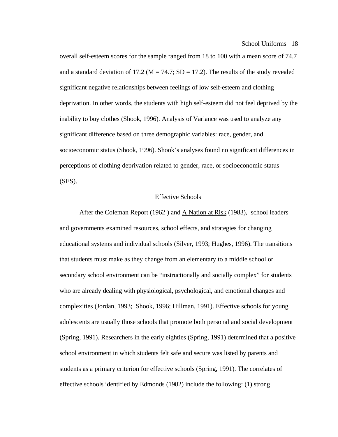overall self-esteem scores for the sample ranged from 18 to 100 with a mean score of 74.7 and a standard deviation of 17.2 ( $M = 74.7$ ; SD = 17.2). The results of the study revealed significant negative relationships between feelings of low self-esteem and clothing deprivation. In other words, the students with high self-esteem did not feel deprived by the inability to buy clothes (Shook, 1996). Analysis of Variance was used to analyze any significant difference based on three demographic variables: race, gender, and socioeconomic status (Shook, 1996). Shook's analyses found no significant differences in perceptions of clothing deprivation related to gender, race, or socioeconomic status (SES).

#### Effective Schools

After the Coleman Report (1962 ) and A Nation at Risk (1983), school leaders and governments examined resources, school effects, and strategies for changing educational systems and individual schools (Silver, 1993; Hughes, 1996). The transitions that students must make as they change from an elementary to a middle school or secondary school environment can be "instructionally and socially complex" for students who are already dealing with physiological, psychological, and emotional changes and complexities (Jordan, 1993; Shook, 1996; Hillman, 1991). Effective schools for young adolescents are usually those schools that promote both personal and social development (Spring, 1991). Researchers in the early eighties (Spring, 1991) determined that a positive school environment in which students felt safe and secure was listed by parents and students as a primary criterion for effective schools (Spring, 1991). The correlates of effective schools identified by Edmonds (1982) include the following: (1) strong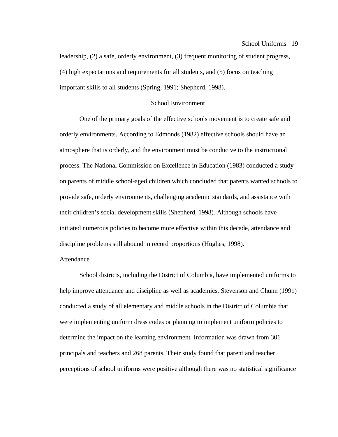leadership, (2) a safe, orderly environment, (3) frequent monitoring of student progress, (4) high expectations and requirements for all students, and (5) focus on teaching important skills to all students (Spring, 1991; Shepherd, 1998).

### School Environment

One of the primary goals of the effective schools movement is to create safe and orderly environments. According to Edmonds (1982) effective schools should have an atmosphere that is orderly, and the environment must be conducive to the instructional process. The National Commission on Excellence in Education (1983) conducted a study on parents of middle school-aged children which concluded that parents wanted schools to provide safe, orderly environments, challenging academic standards, and assistance with their children's social development skills (Shepherd, 1998). Although schools have initiated numerous policies to become more effective within this decade, attendance and discipline problems still abound in record proportions (Hughes, 1998).

## Attendance

School districts, including the District of Columbia, have implemented uniforms to help improve attendance and discipline as well as academics. Stevenson and Chunn (1991) conducted a study of all elementary and middle schools in the District of Columbia that were implementing uniform dress codes or planning to implement uniform policies to determine the impact on the learning environment. Information was drawn from 301 principals and teachers and 268 parents. Their study found that parent and teacher perceptions of school uniforms were positive although there was no statistical significance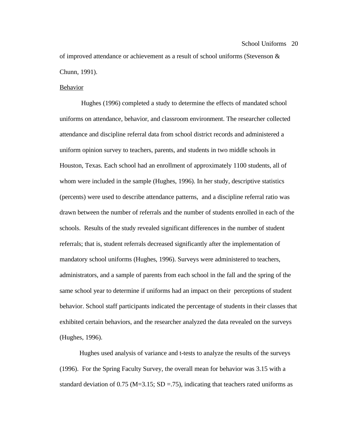of improved attendance or achievement as a result of school uniforms (Stevenson & Chunn, 1991).

## **Behavior**

 Hughes (1996) completed a study to determine the effects of mandated school uniforms on attendance, behavior, and classroom environment. The researcher collected attendance and discipline referral data from school district records and administered a uniform opinion survey to teachers, parents, and students in two middle schools in Houston, Texas. Each school had an enrollment of approximately 1100 students, all of whom were included in the sample (Hughes, 1996). In her study, descriptive statistics (percents) were used to describe attendance patterns, and a discipline referral ratio was drawn between the number of referrals and the number of students enrolled in each of the schools. Results of the study revealed significant differences in the number of student referrals; that is, student referrals decreased significantly after the implementation of mandatory school uniforms (Hughes, 1996). Surveys were administered to teachers, administrators, and a sample of parents from each school in the fall and the spring of the same school year to determine if uniforms had an impact on their perceptions of student behavior. School staff participants indicated the percentage of students in their classes that exhibited certain behaviors, and the researcher analyzed the data revealed on the surveys (Hughes, 1996).

Hughes used analysis of variance and t-tests to analyze the results of the surveys (1996). For the Spring Faculty Survey, the overall mean for behavior was 3.15 with a standard deviation of 0.75 (M=3.15; SD = .75), indicating that teachers rated uniforms as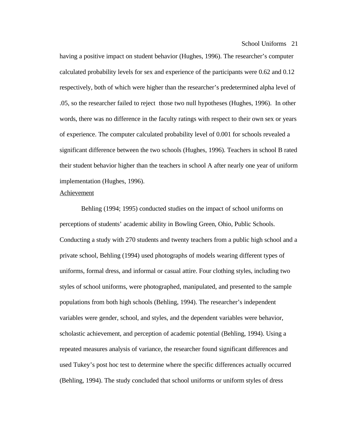having a positive impact on student behavior (Hughes, 1996). The researcher's computer calculated probability levels for sex and experience of the participants were 0.62 and 0.12 respectively, both of which were higher than the researcher's predetermined alpha level of .05, so the researcher failed to reject those two null hypotheses (Hughes, 1996). In other words, there was no difference in the faculty ratings with respect to their own sex or years of experience. The computer calculated probability level of 0.001 for schools revealed a significant difference between the two schools (Hughes, 1996). Teachers in school B rated their student behavior higher than the teachers in school A after nearly one year of uniform implementation (Hughes, 1996).

## Achievement

 Behling (1994; 1995) conducted studies on the impact of school uniforms on perceptions of students' academic ability in Bowling Green, Ohio, Public Schools. Conducting a study with 270 students and twenty teachers from a public high school and a private school, Behling (1994) used photographs of models wearing different types of uniforms, formal dress, and informal or casual attire. Four clothing styles, including two styles of school uniforms, were photographed, manipulated, and presented to the sample populations from both high schools (Behling, 1994). The researcher's independent variables were gender, school, and styles, and the dependent variables were behavior, scholastic achievement, and perception of academic potential (Behling, 1994). Using a repeated measures analysis of variance, the researcher found significant differences and used Tukey's post hoc test to determine where the specific differences actually occurred (Behling, 1994). The study concluded that school uniforms or uniform styles of dress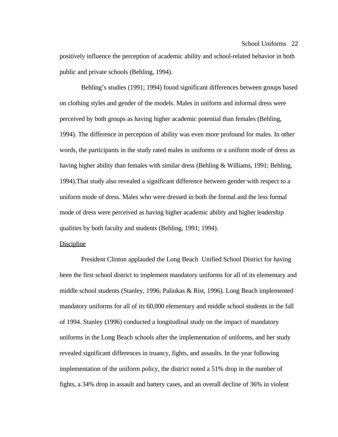positively influence the perception of academic ability and school-related behavior in both public and private schools (Behling, 1994).

 Behling's studies (1991; 1994) found significant differences between groups based on clothing styles and gender of the models. Males in uniform and informal dress were perceived by both groups as having higher academic potential than females (Behling, 1994). The difference in perception of ability was even more profound for males. In other words, the participants in the study rated males in uniforms or a uniform mode of dress as having higher ability than females with similar dress (Behling  $\&$  Williams, 1991; Behling, 1994).That study also revealed a significant difference between gender with respect to a uniform mode of dress. Males who were dressed in both the formal and the less formal mode of dress were perceived as having higher academic ability and higher leadership qualities by both faculty and students (Behling, 1991; 1994).

### Discipline

 President Clinton applauded the Long Beach Unified School District for having been the first school district to implement mandatory uniforms for all of its elementary and middle school students (Stanley, 1996; Paliokas & Rist, 1996). Long Beach implemented mandatory uniforms for all of its 60,000 elementary and middle school students in the fall of 1994. Stanley (1996) conducted a longitudinal study on the impact of mandatory uniforms in the Long Beach schools after the implementation of uniforms, and her study revealed significant differences in truancy, fights, and assaults. In the year following implementation of the uniform policy, the district noted a 51% drop in the number of fights, a 34% drop in assault and battery cases, and an overall decline of 36% in violent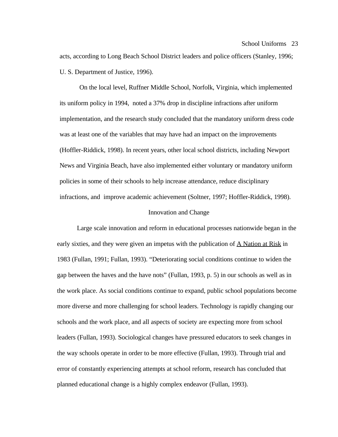acts, according to Long Beach School District leaders and police officers (Stanley, 1996; U. S. Department of Justice, 1996).

On the local level, Ruffner Middle School, Norfolk, Virginia, which implemented its uniform policy in 1994, noted a 37% drop in discipline infractions after uniform implementation, and the research study concluded that the mandatory uniform dress code was at least one of the variables that may have had an impact on the improvements (Hoffler-Riddick, 1998). In recent years, other local school districts, including Newport News and Virginia Beach, have also implemented either voluntary or mandatory uniform policies in some of their schools to help increase attendance, reduce disciplinary infractions, and improve academic achievement (Soltner, 1997; Hoffler-Riddick, 1998).

## Innovation and Change

Large scale innovation and reform in educational processes nationwide began in the early sixties, and they were given an impetus with the publication of  $\overline{A}$  Nation at Risk in 1983 (Fullan, 1991; Fullan, 1993). "Deteriorating social conditions continue to widen the gap between the haves and the have nots" (Fullan, 1993, p. 5) in our schools as well as in the work place. As social conditions continue to expand, public school populations become more diverse and more challenging for school leaders. Technology is rapidly changing our schools and the work place, and all aspects of society are expecting more from school leaders (Fullan, 1993). Sociological changes have pressured educators to seek changes in the way schools operate in order to be more effective (Fullan, 1993). Through trial and error of constantly experiencing attempts at school reform, research has concluded that planned educational change is a highly complex endeavor (Fullan, 1993).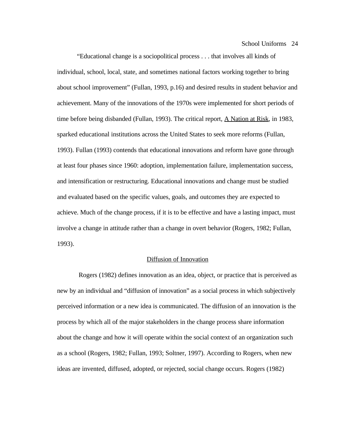"Educational change is a sociopolitical process . . . that involves all kinds of individual, school, local, state, and sometimes national factors working together to bring about school improvement" (Fullan, 1993, p.16) and desired results in student behavior and achievement. Many of the innovations of the 1970s were implemented for short periods of time before being disbanded (Fullan, 1993). The critical report, **A Nation at Risk**, in 1983, sparked educational institutions across the United States to seek more reforms (Fullan, 1993). Fullan (1993) contends that educational innovations and reform have gone through at least four phases since 1960: adoption, implementation failure, implementation success, and intensification or restructuring. Educational innovations and change must be studied and evaluated based on the specific values, goals, and outcomes they are expected to achieve. Much of the change process, if it is to be effective and have a lasting impact, must involve a change in attitude rather than a change in overt behavior (Rogers, 1982; Fullan, 1993).

### Diffusion of Innovation

 Rogers (1982) defines innovation as an idea, object, or practice that is perceived as new by an individual and "diffusion of innovation" as a social process in which subjectively perceived information or a new idea is communicated. The diffusion of an innovation is the process by which all of the major stakeholders in the change process share information about the change and how it will operate within the social context of an organization such as a school (Rogers, 1982; Fullan, 1993; Soltner, 1997). According to Rogers, when new ideas are invented, diffused, adopted, or rejected, social change occurs. Rogers (1982)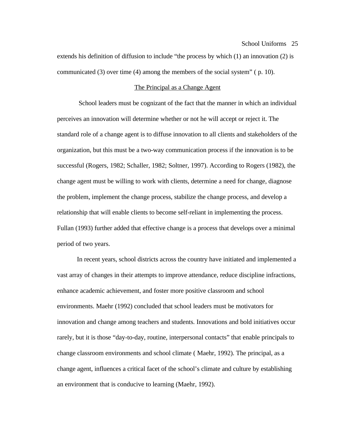extends his definition of diffusion to include "the process by which (1) an innovation (2) is communicated (3) over time (4) among the members of the social system" ( p. 10).

### The Principal as a Change Agent

 School leaders must be cognizant of the fact that the manner in which an individual perceives an innovation will determine whether or not he will accept or reject it. The standard role of a change agent is to diffuse innovation to all clients and stakeholders of the organization, but this must be a two-way communication process if the innovation is to be successful (Rogers, 1982; Schaller, 1982; Soltner, 1997). According to Rogers (1982), the change agent must be willing to work with clients, determine a need for change, diagnose the problem, implement the change process, stabilize the change process, and develop a relationship that will enable clients to become self-reliant in implementing the process. Fullan (1993) further added that effective change is a process that develops over a minimal period of two years.

In recent years, school districts across the country have initiated and implemented a vast array of changes in their attempts to improve attendance, reduce discipline infractions, enhance academic achievement, and foster more positive classroom and school environments. Maehr (1992) concluded that school leaders must be motivators for innovation and change among teachers and students. Innovations and bold initiatives occur rarely, but it is those "day-to-day, routine, interpersonal contacts" that enable principals to change classroom environments and school climate ( Maehr, 1992). The principal, as a change agent, influences a critical facet of the school's climate and culture by establishing an environment that is conducive to learning (Maehr, 1992).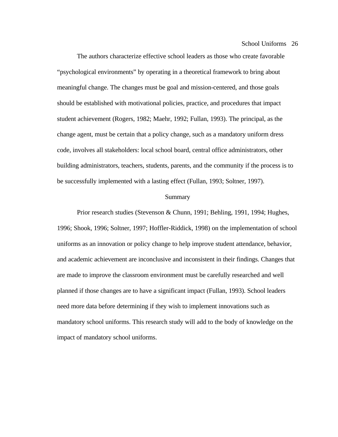The authors characterize effective school leaders as those who create favorable "psychological environments" by operating in a theoretical framework to bring about meaningful change. The changes must be goal and mission-centered, and those goals should be established with motivational policies, practice, and procedures that impact student achievement (Rogers, 1982; Maehr, 1992; Fullan, 1993). The principal, as the change agent, must be certain that a policy change, such as a mandatory uniform dress code, involves all stakeholders: local school board, central office administrators, other building administrators, teachers, students, parents, and the community if the process is to be successfully implemented with a lasting effect (Fullan, 1993; Soltner, 1997).

## Summary

Prior research studies (Stevenson & Chunn, 1991; Behling, 1991, 1994; Hughes, 1996; Shook, 1996; Soltner, 1997; Hoffler-Riddick, 1998) on the implementation of school uniforms as an innovation or policy change to help improve student attendance, behavior, and academic achievement are inconclusive and inconsistent in their findings. Changes that are made to improve the classroom environment must be carefully researched and well planned if those changes are to have a significant impact (Fullan, 1993). School leaders need more data before determining if they wish to implement innovations such as mandatory school uniforms. This research study will add to the body of knowledge on the impact of mandatory school uniforms.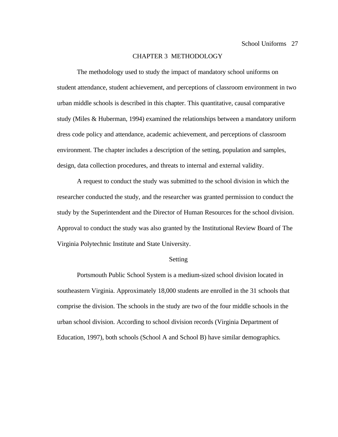## CHAPTER 3 METHODOLOGY

The methodology used to study the impact of mandatory school uniforms on student attendance, student achievement, and perceptions of classroom environment in two urban middle schools is described in this chapter. This quantitative, causal comparative study (Miles & Huberman, 1994) examined the relationships between a mandatory uniform dress code policy and attendance, academic achievement, and perceptions of classroom environment. The chapter includes a description of the setting, population and samples, design, data collection procedures, and threats to internal and external validity.

A request to conduct the study was submitted to the school division in which the researcher conducted the study, and the researcher was granted permission to conduct the study by the Superintendent and the Director of Human Resources for the school division. Approval to conduct the study was also granted by the Institutional Review Board of The Virginia Polytechnic Institute and State University.

#### Setting

Portsmouth Public School System is a medium-sized school division located in southeastern Virginia. Approximately 18,000 students are enrolled in the 31 schools that comprise the division. The schools in the study are two of the four middle schools in the urban school division. According to school division records (Virginia Department of Education, 1997), both schools (School A and School B) have similar demographics.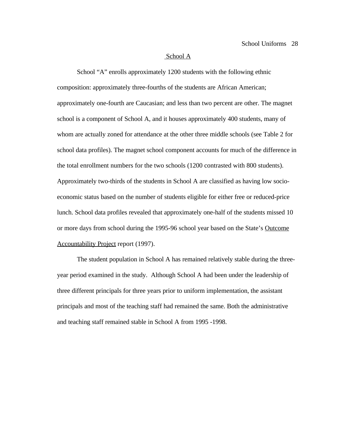### School A

School "A" enrolls approximately 1200 students with the following ethnic composition: approximately three-fourths of the students are African American; approximately one-fourth are Caucasian; and less than two percent are other. The magnet school is a component of School A, and it houses approximately 400 students, many of whom are actually zoned for attendance at the other three middle schools (see Table 2 for school data profiles). The magnet school component accounts for much of the difference in the total enrollment numbers for the two schools (1200 contrasted with 800 students). Approximately two-thirds of the students in School A are classified as having low socioeconomic status based on the number of students eligible for either free or reduced-price lunch. School data profiles revealed that approximately one-half of the students missed 10 or more days from school during the 1995-96 school year based on the State's Outcome Accountability Project report (1997).

The student population in School A has remained relatively stable during the threeyear period examined in the study. Although School A had been under the leadership of three different principals for three years prior to uniform implementation, the assistant principals and most of the teaching staff had remained the same. Both the administrative and teaching staff remained stable in School A from 1995 -1998.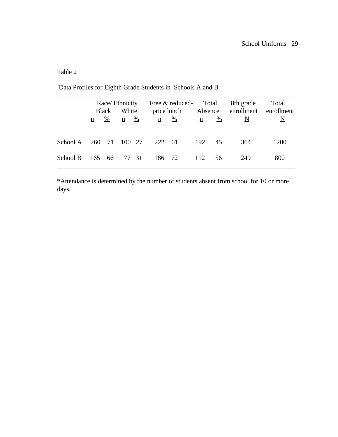## Table 2

|          | Race/ Ethnicity<br>White<br><b>Black</b> |               | Free & reduced-<br>price lunch |               | Total<br>Absence |               | 8th grade<br>enrollment | Total<br>enrollment |     |      |
|----------|------------------------------------------|---------------|--------------------------------|---------------|------------------|---------------|-------------------------|---------------------|-----|------|
|          | n                                        | $\frac{0}{0}$ | $\mathbf n$                    | $\frac{0}{0}$ | n                | $\frac{0}{0}$ | $\underline{n}$         | $\frac{0}{0}$       | N   |      |
| School A |                                          |               | 260 71 100 27                  |               | 222 61           |               | 192                     | 45                  | 364 | 1200 |
| School B |                                          | 165 66        |                                | 77 31         | 186 72           |               | 112                     | 56                  | 249 | 800  |

Data Profiles for Eighth Grade Students in Schools A and B

\*Attendance is determined by the number of students absent from school for 10 or more days.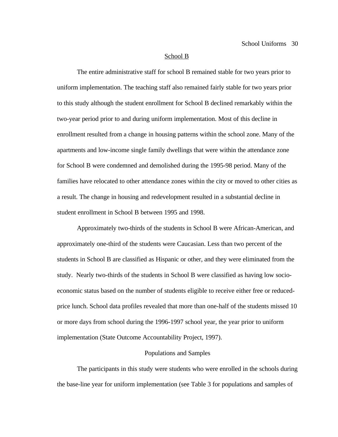#### School B

The entire administrative staff for school B remained stable for two years prior to uniform implementation. The teaching staff also remained fairly stable for two years prior to this study although the student enrollment for School B declined remarkably within the two-year period prior to and during uniform implementation. Most of this decline in enrollment resulted from a change in housing patterns within the school zone. Many of the apartments and low-income single family dwellings that were within the attendance zone for School B were condemned and demolished during the 1995-98 period. Many of the families have relocated to other attendance zones within the city or moved to other cities as a result. The change in housing and redevelopment resulted in a substantial decline in student enrollment in School B between 1995 and 1998.

Approximately two-thirds of the students in School B were African-American, and approximately one-third of the students were Caucasian. Less than two percent of the students in School B are classified as Hispanic or other, and they were eliminated from the study. Nearly two-thirds of the students in School B were classified as having low socioeconomic status based on the number of students eligible to receive either free or reducedprice lunch. School data profiles revealed that more than one-half of the students missed 10 or more days from school during the 1996-1997 school year, the year prior to uniform implementation (State Outcome Accountability Project, 1997).

## Populations and Samples

The participants in this study were students who were enrolled in the schools during the base-line year for uniform implementation (see Table 3 for populations and samples of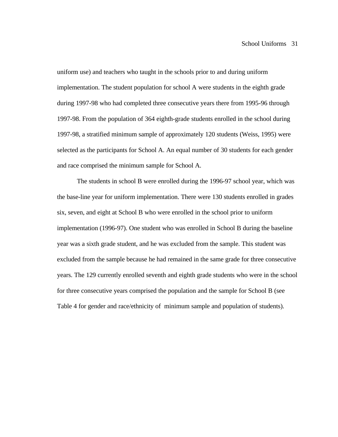uniform use) and teachers who taught in the schools prior to and during uniform implementation. The student population for school A were students in the eighth grade during 1997-98 who had completed three consecutive years there from 1995-96 through 1997-98. From the population of 364 eighth-grade students enrolled in the school during 1997-98, a stratified minimum sample of approximately 120 students (Weiss, 1995) were selected as the participants for School A. An equal number of 30 students for each gender and race comprised the minimum sample for School A.

The students in school B were enrolled during the 1996-97 school year, which was the base-line year for uniform implementation. There were 130 students enrolled in grades six, seven, and eight at School B who were enrolled in the school prior to uniform implementation (1996-97). One student who was enrolled in School B during the baseline year was a sixth grade student, and he was excluded from the sample. This student was excluded from the sample because he had remained in the same grade for three consecutive years. The 129 currently enrolled seventh and eighth grade students who were in the school for three consecutive years comprised the population and the sample for School B (see Table 4 for gender and race/ethnicity of minimum sample and population of students).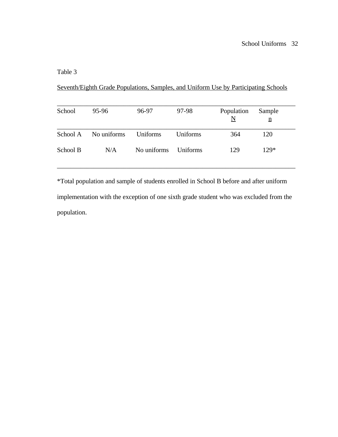## Table 3

Seventh/Eighth Grade Populations, Samples, and Uniform Use by Participating Schools

| School   | 95-96       | 96-97       | 97-98           | Population<br>$\underline{\rm N}$ | Sample<br>$\underline{n}$ |
|----------|-------------|-------------|-----------------|-----------------------------------|---------------------------|
| School A | No uniforms | Uniforms    | Uniforms        | 364                               | 120                       |
| School B | N/A         | No uniforms | <b>Uniforms</b> | 129                               | $129*$                    |

\*Total population and sample of students enrolled in School B before and after uniform implementation with the exception of one sixth grade student who was excluded from the population.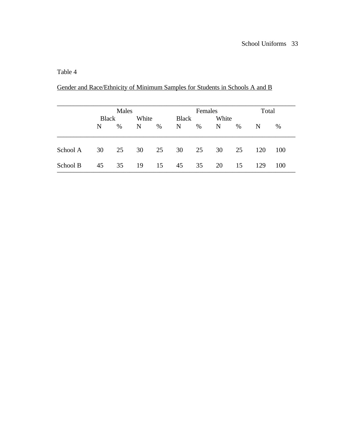## Table 4

| Gender and Race/Ethnicity of Minimum Samples for Students in Schools A and B |  |  |  |
|------------------------------------------------------------------------------|--|--|--|
|                                                                              |  |  |  |

|          |              | Males |       |      |              | Females |       |    |     | Total |  |
|----------|--------------|-------|-------|------|--------------|---------|-------|----|-----|-------|--|
|          | <b>Black</b> |       | White |      | <b>Black</b> |         | White |    |     |       |  |
|          | N            | $\%$  | N     | $\%$ | N            | $\%$    | N     | %  | N   | %     |  |
| School A | 30           | 25    | 30    | 25   | 30           | 25      | 30    | 25 | 120 | 100   |  |
| School B | 45           | 35    | 19    | 15   | 45           | 35      | 20    | 15 | 129 | 100   |  |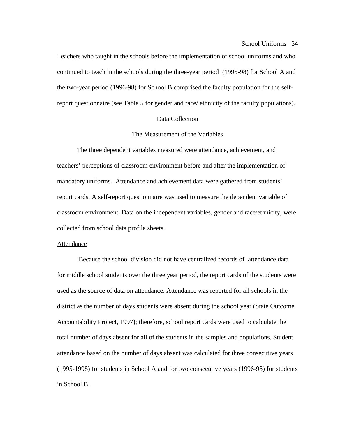Teachers who taught in the schools before the implementation of school uniforms and who continued to teach in the schools during the three-year period (1995-98) for School A and the two-year period (1996-98) for School B comprised the faculty population for the selfreport questionnaire (see Table 5 for gender and race/ ethnicity of the faculty populations).

### Data Collection

### The Measurement of the Variables

The three dependent variables measured were attendance, achievement, and teachers' perceptions of classroom environment before and after the implementation of mandatory uniforms. Attendance and achievement data were gathered from students' report cards. A self-report questionnaire was used to measure the dependent variable of classroom environment. Data on the independent variables, gender and race/ethnicity, were collected from school data profile sheets.

### Attendance

 Because the school division did not have centralized records of attendance data for middle school students over the three year period, the report cards of the students were used as the source of data on attendance. Attendance was reported for all schools in the district as the number of days students were absent during the school year (State Outcome Accountability Project, 1997); therefore, school report cards were used to calculate the total number of days absent for all of the students in the samples and populations. Student attendance based on the number of days absent was calculated for three consecutive years (1995-1998) for students in School A and for two consecutive years (1996-98) for students in School B.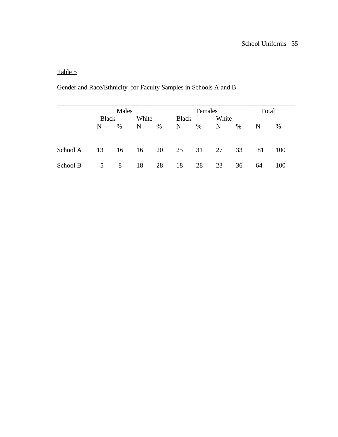## Table 5

# Gender and Race/Ethnicity for Faculty Samples in Schools A and B

|          |              | Males |       |    |                       | Females |    |    |    | Total |  |
|----------|--------------|-------|-------|----|-----------------------|---------|----|----|----|-------|--|
|          | <b>Black</b> |       | White |    | White<br><b>Black</b> |         |    |    |    |       |  |
|          | N            | $\%$  | N     | %  | N                     | $\%$    | N  | %  | N  | %     |  |
| School A | 13           | 16    | 16    | 20 | 25                    | 31      | 27 | 33 | 81 | 100   |  |
| School B | 5            | 8     | 18    | 28 | 18                    | 28      | 23 | 36 | 64 | 100   |  |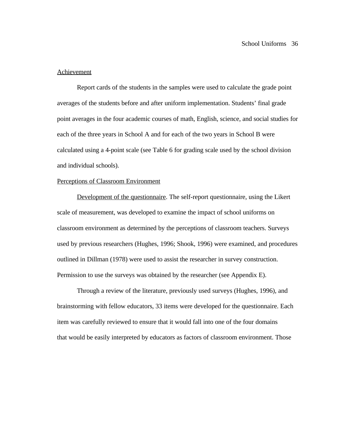#### Achievement

Report cards of the students in the samples were used to calculate the grade point averages of the students before and after uniform implementation. Students' final grade point averages in the four academic courses of math, English, science, and social studies for each of the three years in School A and for each of the two years in School B were calculated using a 4-point scale (see Table 6 for grading scale used by the school division and individual schools).

#### Perceptions of Classroom Environment

Development of the questionnaire. The self-report questionnaire, using the Likert scale of measurement, was developed to examine the impact of school uniforms on classroom environment as determined by the perceptions of classroom teachers. Surveys used by previous researchers (Hughes, 1996; Shook, 1996) were examined, and procedures outlined in Dillman (1978) were used to assist the researcher in survey construction. Permission to use the surveys was obtained by the researcher (see Appendix E).

Through a review of the literature, previously used surveys (Hughes, 1996), and brainstorming with fellow educators, 33 items were developed for the questionnaire. Each item was carefully reviewed to ensure that it would fall into one of the four domains that would be easily interpreted by educators as factors of classroom environment. Those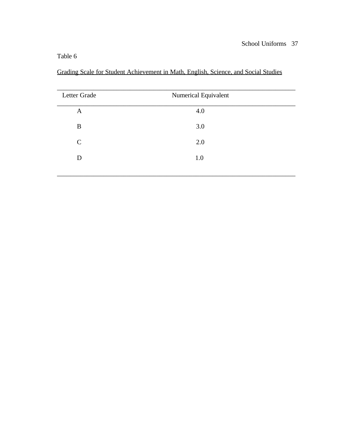Grading Scale for Student Achievement in Math, English, Science, and Social Studies

| Letter Grade  | Numerical Equivalent |  |
|---------------|----------------------|--|
|               |                      |  |
| $\mathbf{A}$  | 4.0                  |  |
|               |                      |  |
| B             | 3.0                  |  |
|               |                      |  |
| $\mathcal{C}$ | 2.0                  |  |
|               |                      |  |
| D             | 1.0                  |  |
|               |                      |  |
|               |                      |  |
|               |                      |  |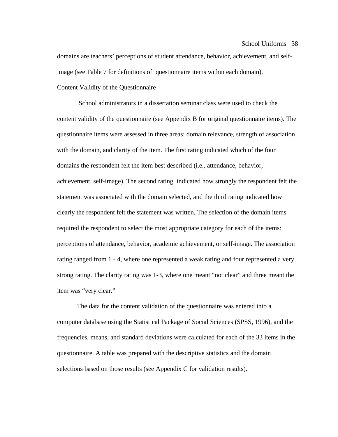#### School Uniforms 38

domains are teachers' perceptions of student attendance, behavior, achievement, and selfimage (see Table 7 for definitions of questionnaire items within each domain).

## Content Validity of the Questionnaire

 School administrators in a dissertation seminar class were used to check the content validity of the questionnaire (see Appendix B for original questionnaire items). The questionnaire items were assessed in three areas: domain relevance, strength of association with the domain, and clarity of the item. The first rating indicated which of the four domains the respondent felt the item best described (i.e., attendance, behavior, achievement, self-image). The second rating indicated how strongly the respondent felt the statement was associated with the domain selected, and the third rating indicated how clearly the respondent felt the statement was written. The selection of the domain items required the respondent to select the most appropriate category for each of the items: perceptions of attendance, behavior, academic achievement, or self-image. The association rating ranged from 1 - 4, where one represented a weak rating and four represented a very strong rating. The clarity rating was 1-3, where one meant "not clear" and three meant the item was "very clear."

The data for the content validation of the questionnaire was entered into a computer database using the Statistical Package of Social Sciences (SPSS, 1996), and the frequencies, means, and standard deviations were calculated for each of the 33 items in the questionnaire. A table was prepared with the descriptive statistics and the domain selections based on those results (see Appendix C for validation results).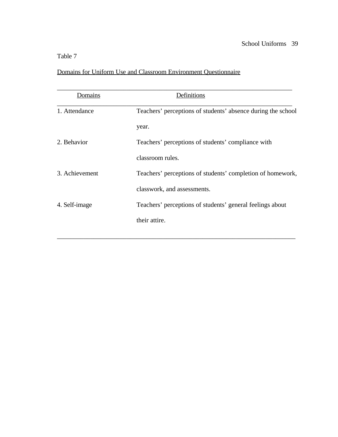# Domains for Uniform Use and Classroom Environment Questionnaire

| Domains        | Definitions                                                  |  |  |  |  |  |
|----------------|--------------------------------------------------------------|--|--|--|--|--|
| 1. Attendance  | Teachers' perceptions of students' absence during the school |  |  |  |  |  |
|                | year.                                                        |  |  |  |  |  |
| 2. Behavior    | Teachers' perceptions of students' compliance with           |  |  |  |  |  |
|                | classroom rules.                                             |  |  |  |  |  |
| 3. Achievement | Teachers' perceptions of students' completion of homework,   |  |  |  |  |  |
|                | classwork, and assessments.                                  |  |  |  |  |  |
| 4. Self-image  | Teachers' perceptions of students' general feelings about    |  |  |  |  |  |
|                | their attire.                                                |  |  |  |  |  |
|                |                                                              |  |  |  |  |  |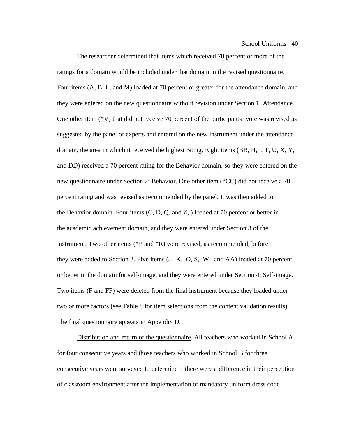School Uniforms 40

The researcher determined that items which received 70 percent or more of the ratings for a domain would be included under that domain in the revised questionnaire. Four items (A, B, L, and M) loaded at 70 percent or greater for the attendance domain, and they were entered on the new questionnaire without revision under Section 1: Attendance. One other item (\*V) that did not receive 70 percent of the participants' vote was revised as suggested by the panel of experts and entered on the new instrument under the attendance domain, the area in which it received the highest rating. Eight items (BB, H, I, T, U, X, Y, and DD) received a 70 percent rating for the Behavior domain, so they were entered on the new questionnaire under Section 2: Behavior. One other item (\*CC) did not receive a 70 percent rating and was revised as recommended by the panel. It was then added to the Behavior domain. Four items (C, D, Q, and Z, ) loaded at 70 percent or better in the academic achievement domain, and they were entered under Section 3 of the instrument. Two other items (\*P and \*R) were revised, as recommended, before they were added to Section 3. Five items (J, K, O, S, W, and AA) loaded at 70 percent or better in the domain for self-image, and they were entered under Section 4: Self-image. Two items (F and FF) were deleted from the final instrument because they loaded under two or more factors (see Table 8 for item selections from the content validation results). The final questionnaire appears in Appendix D.

Distribution and return of the questionnaire. All teachers who worked in School A for four consecutive years and those teachers who worked in School B for three consecutive years were surveyed to determine if there were a difference in their perception of classroom environment after the implementation of mandatory uniform dress code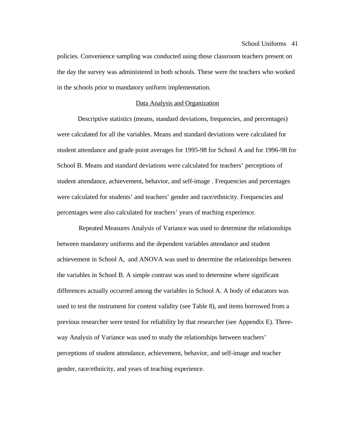#### School Uniforms 41

policies. Convenience sampling was conducted using those classroom teachers present on the day the survey was administered in both schools. These were the teachers who worked in the schools prior to mandatory uniform implementation.

## Data Analysis and Organization

 Descriptive statistics (means, standard deviations, frequencies, and percentages) were calculated for all the variables. Means and standard deviations were calculated for student attendance and grade point averages for 1995-98 for School A and for 1996-98 for School B. Means and standard deviations were calculated for teachers' perceptions of student attendance, achievement, behavior, and self-image . Frequencies and percentages were calculated for students' and teachers' gender and race/ethnicity. Frequencies and percentages were also calculated for teachers' years of teaching experience.

 Repeated Measures Analysis of Variance was used to determine the relationships between mandatory uniforms and the dependent variables attendance and student achievement in School A, and ANOVA was used to determine the relationships between the variables in School B. A simple contrast was used to determine where significant differences actually occurred among the variables in School A. A body of educators was used to test the instrument for content validity (see Table 8), and items borrowed from a previous researcher were tested for reliability by that researcher (see Appendix E). Threeway Analysis of Variance was used to study the relationships between teachers' perceptions of student attendance, achievement, behavior, and self-image and teacher gender, race/ethnicity, and years of teaching experience.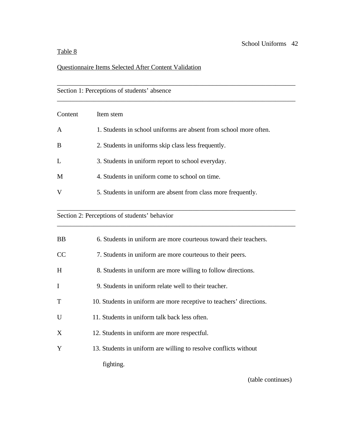# Questionnaire Items Selected After Content Validation

| Section 1: Perceptions of students' absence |                                                                   |  |  |  |  |  |  |
|---------------------------------------------|-------------------------------------------------------------------|--|--|--|--|--|--|
| Content                                     | Item stem                                                         |  |  |  |  |  |  |
| A                                           | 1. Students in school uniforms are absent from school more often. |  |  |  |  |  |  |
| B                                           | 2. Students in uniforms skip class less frequently.               |  |  |  |  |  |  |
| L                                           | 3. Students in uniform report to school everyday.                 |  |  |  |  |  |  |
| M                                           | 4. Students in uniform come to school on time.                    |  |  |  |  |  |  |
| V                                           | 5. Students in uniform are absent from class more frequently.     |  |  |  |  |  |  |

\_\_\_\_\_\_\_\_\_\_\_\_\_\_\_\_\_\_\_\_\_\_\_\_\_\_\_\_\_\_\_\_\_\_\_\_\_\_\_\_\_\_\_\_\_\_\_\_\_\_\_\_\_\_\_\_\_\_\_\_\_\_\_\_\_\_\_\_\_\_\_\_

\_\_\_\_\_\_\_\_\_\_\_\_\_\_\_\_\_\_\_\_\_\_\_\_\_\_\_\_\_\_\_\_\_\_\_\_\_\_\_\_\_\_\_\_\_\_\_\_\_\_\_\_\_\_\_\_\_\_\_\_\_\_\_\_\_\_\_\_\_\_\_\_

# Section 2: Perceptions of students' behavior

| <b>BB</b>    | 6. Students in uniform are more courteous toward their teachers.    |
|--------------|---------------------------------------------------------------------|
| <b>CC</b>    | 7. Students in uniform are more courteous to their peers.           |
| H            | 8. Students in uniform are more willing to follow directions.       |
| $\mathbf{I}$ | 9. Students in uniform relate well to their teacher.                |
| T            | 10. Students in uniform are more receptive to teachers' directions. |
| $\mathbf U$  | 11. Students in uniform talk back less often.                       |
| X            | 12. Students in uniform are more respectful.                        |
| Y            | 13. Students in uniform are willing to resolve conflicts without    |
|              | fighting.                                                           |

(table continues)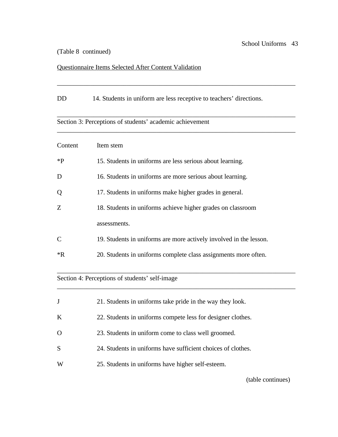## (Table 8 continued)

## Questionnaire Items Selected After Content Validation

DD 14. Students in uniform are less receptive to teachers' directions.

\_\_\_\_\_\_\_\_\_\_\_\_\_\_\_\_\_\_\_\_\_\_\_\_\_\_\_\_\_\_\_\_\_\_\_\_\_\_\_\_\_\_\_\_\_\_\_\_\_\_\_\_\_\_\_\_\_\_\_\_\_\_\_\_\_\_\_\_\_\_\_\_

# \_\_\_\_\_\_\_\_\_\_\_\_\_\_\_\_\_\_\_\_\_\_\_\_\_\_\_\_\_\_\_\_\_\_\_\_\_\_\_\_\_\_\_\_\_\_\_\_\_\_\_\_\_\_\_\_\_\_\_\_\_\_\_\_\_\_\_\_\_\_\_\_ Section 3: Perceptions of students' academic achievement \_\_\_\_\_\_\_\_\_\_\_\_\_\_\_\_\_\_\_\_\_\_\_\_\_\_\_\_\_\_\_\_\_\_\_\_\_\_\_\_\_\_\_\_\_\_\_\_\_\_\_\_\_\_\_\_\_\_\_\_\_\_\_\_\_\_\_\_\_\_\_\_ Content Item stem \*P 15. Students in uniforms are less serious about learning. D 16. Students in uniforms are more serious about learning. Q 17. Students in uniforms make higher grades in general. Z 18. Students in uniforms achieve higher grades on classroom assessments. C 19. Students in uniforms are more actively involved in the lesson. \*R 20. Students in uniforms complete class assignments more often. \_\_\_\_\_\_\_\_\_\_\_\_\_\_\_\_\_\_\_\_\_\_\_\_\_\_\_\_\_\_\_\_\_\_\_\_\_\_\_\_\_\_\_\_\_\_\_\_\_\_\_\_\_\_\_\_\_\_\_\_\_\_\_\_\_\_\_\_\_\_\_\_

\_\_\_\_\_\_\_\_\_\_\_\_\_\_\_\_\_\_\_\_\_\_\_\_\_\_\_\_\_\_\_\_\_\_\_\_\_\_\_\_\_\_\_\_\_\_\_\_\_\_\_\_\_\_\_\_\_\_\_\_\_\_\_\_\_\_\_\_\_\_\_\_

# Section 4: Perceptions of students' self-image

|   | 21. Students in uniforms take pride in the way they look.    |
|---|--------------------------------------------------------------|
| K | 22. Students in uniforms compete less for designer clothes.  |
| O | 23. Students in uniform come to class well groomed.          |
| S | 24. Students in uniforms have sufficient choices of clothes. |
| W | 25. Students in uniforms have higher self-esteem.            |

(table continues)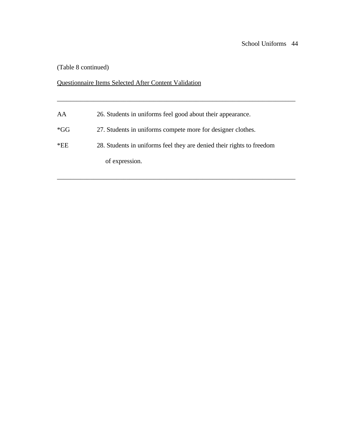(Table 8 continued)

## Questionnaire Items Selected After Content Validation

AA 26. Students in uniforms feel good about their appearance.

- \*GG 27. Students in uniforms compete more for designer clothes.
- \*EE 28. Students in uniforms feel they are denied their rights to freedom

\_\_\_\_\_\_\_\_\_\_\_\_\_\_\_\_\_\_\_\_\_\_\_\_\_\_\_\_\_\_\_\_\_\_\_\_\_\_\_\_\_\_\_\_\_\_\_\_\_\_\_\_\_\_\_\_\_\_\_\_\_\_\_\_\_\_\_\_\_\_\_\_

\_\_\_\_\_\_\_\_\_\_\_\_\_\_\_\_\_\_\_\_\_\_\_\_\_\_\_\_\_\_\_\_\_\_\_\_\_\_\_\_\_\_\_\_\_\_\_\_\_\_\_\_\_\_\_\_\_\_\_\_\_\_\_\_\_\_\_\_\_\_\_\_

of expression.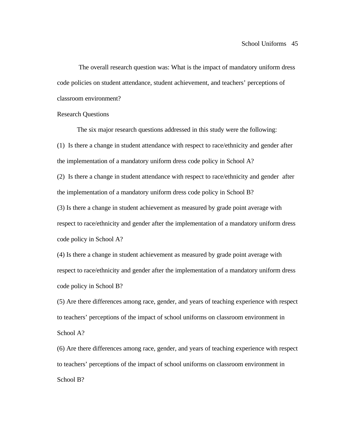The overall research question was: What is the impact of mandatory uniform dress code policies on student attendance, student achievement, and teachers' perceptions of classroom environment?

### Research Questions

The six major research questions addressed in this study were the following: (1) Is there a change in student attendance with respect to race/ethnicity and gender after the implementation of a mandatory uniform dress code policy in School A?

(2) Is there a change in student attendance with respect to race/ethnicity and gender after the implementation of a mandatory uniform dress code policy in School B?

(3) Is there a change in student achievement as measured by grade point average with respect to race/ethnicity and gender after the implementation of a mandatory uniform dress code policy in School A?

(4) Is there a change in student achievement as measured by grade point average with respect to race/ethnicity and gender after the implementation of a mandatory uniform dress code policy in School B?

(5) Are there differences among race, gender, and years of teaching experience with respect to teachers' perceptions of the impact of school uniforms on classroom environment in School A?

(6) Are there differences among race, gender, and years of teaching experience with respect to teachers' perceptions of the impact of school uniforms on classroom environment in School B?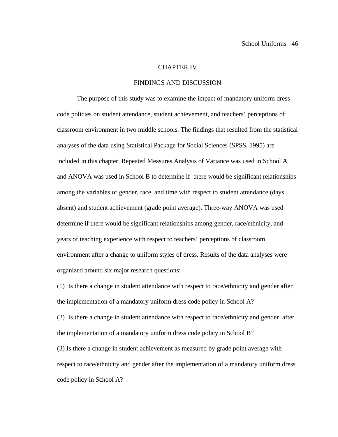#### CHAPTER IV

## FINDINGS AND DISCUSSION

The purpose of this study was to examine the impact of mandatory uniform dress code policies on student attendance, student achievement, and teachers' perceptions of classroom environment in two middle schools. The findings that resulted from the statistical analyses of the data using Statistical Package for Social Sciences (SPSS, 1995) are included in this chapter. Repeated Measures Analysis of Variance was used in School A and ANOVA was used in School B to determine if there would be significant relationships among the variables of gender, race, and time with respect to student attendance (days absent) and student achievement (grade point average). Three-way ANOVA was used determine if there would be significant relationships among gender, race/ethnicity, and years of teaching experience with respect to teachers' perceptions of classroom environment after a change to uniform styles of dress. Results of the data analyses were organized around six major research questions:

(1) Is there a change in student attendance with respect to race/ethnicity and gender after the implementation of a mandatory uniform dress code policy in School A?

(2) Is there a change in student attendance with respect to race/ethnicity and gender after the implementation of a mandatory uniform dress code policy in School B?

(3) Is there a change in student achievement as measured by grade point average with respect to race/ethnicity and gender after the implementation of a mandatory uniform dress code policy in School A?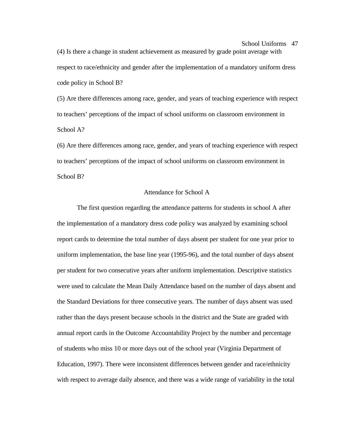# (4) Is there a change in student achievement as measured by grade point average with respect to race/ethnicity and gender after the implementation of a mandatory uniform dress code policy in School B?

(5) Are there differences among race, gender, and years of teaching experience with respect to teachers' perceptions of the impact of school uniforms on classroom environment in School A?

(6) Are there differences among race, gender, and years of teaching experience with respect to teachers' perceptions of the impact of school uniforms on classroom environment in School B?

## Attendance for School A

The first question regarding the attendance patterns for students in school A after the implementation of a mandatory dress code policy was analyzed by examining school report cards to determine the total number of days absent per student for one year prior to uniform implementation, the base line year (1995-96), and the total number of days absent per student for two consecutive years after uniform implementation. Descriptive statistics were used to calculate the Mean Daily Attendance based on the number of days absent and the Standard Deviations for three consecutive years. The number of days absent was used rather than the days present because schools in the district and the State are graded with annual report cards in the Outcome Accountability Project by the number and percentage of students who miss 10 or more days out of the school year (Virginia Department of Education, 1997). There were inconsistent differences between gender and race/ethnicity with respect to average daily absence, and there was a wide range of variability in the total

#### School Uniforms 47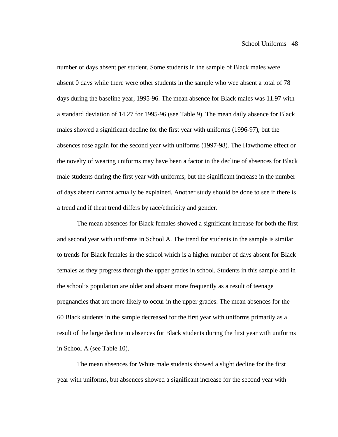number of days absent per student. Some students in the sample of Black males were absent 0 days while there were other students in the sample who wee absent a total of 78 days during the baseline year, 1995-96. The mean absence for Black males was 11.97 with a standard deviation of 14.27 for 1995-96 (see Table 9). The mean daily absence for Black males showed a significant decline for the first year with uniforms (1996-97), but the absences rose again for the second year with uniforms (1997-98). The Hawthorne effect or the novelty of wearing uniforms may have been a factor in the decline of absences for Black male students during the first year with uniforms, but the significant increase in the number of days absent cannot actually be explained. Another study should be done to see if there is a trend and if theat trend differs by race/ethnicity and gender.

The mean absences for Black females showed a significant increase for both the first and second year with uniforms in School A. The trend for students in the sample is similar to trends for Black females in the school which is a higher number of days absent for Black females as they progress through the upper grades in school. Students in this sample and in the school's population are older and absent more frequently as a result of teenage pregnancies that are more likely to occur in the upper grades. The mean absences for the 60 Black students in the sample decreased for the first year with uniforms primarily as a result of the large decline in absences for Black students during the first year with uniforms in School A (see Table 10).

The mean absences for White male students showed a slight decline for the first year with uniforms, but absences showed a significant increase for the second year with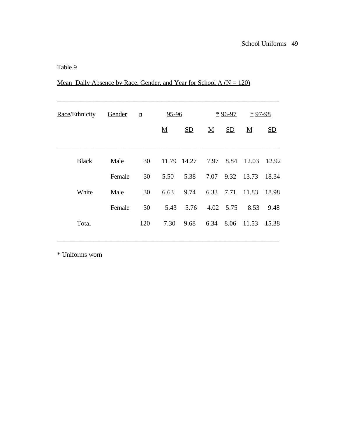|  | Mean Daily Absence by Race, Gender, and Year for School A ( $N = 120$ ) |  |  |  |  |
|--|-------------------------------------------------------------------------|--|--|--|--|
|  |                                                                         |  |  |  |  |

| Race/Ethnicity | Gender | $\underline{n}$ | 95-96                    |      | $*96-97$        |      | $*97-98$                 |       |
|----------------|--------|-----------------|--------------------------|------|-----------------|------|--------------------------|-------|
|                |        |                 | $\underline{\mathbf{M}}$ | SD   | $\underline{M}$ | SD   | $\underline{\mathbf{M}}$ | SD    |
| <b>Black</b>   | Male   | 30              | 11.79 14.27              |      | 7.97            | 8.84 | 12.03                    | 12.92 |
|                | Female | 30              | 5.50                     | 5.38 | 7.07            | 9.32 | 13.73                    | 18.34 |
| White          | Male   | 30              | 6.63                     | 9.74 | 6.33            | 7.71 | 11.83                    | 18.98 |
|                | Female | 30              | 5.43                     | 5.76 | 4.02            | 5.75 | 8.53                     | 9.48  |
| Total          |        | 120             | 7.30                     | 9.68 | 6.34            | 8.06 | 11.53                    | 15.38 |

\* Uniforms worn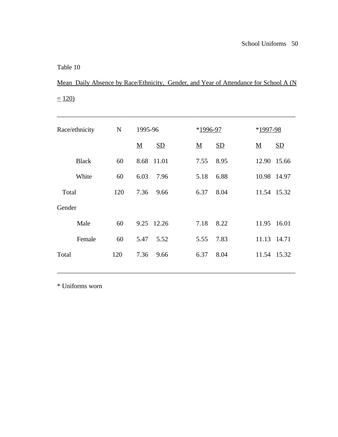Mean Daily Absence by Race/Ethnicity, Gender, and Year of Attendance for School A (N  $\equiv$  120)

| Race/ethnicity | $\mathbf N$ | 1995-96         | $*1996-97$                     | $*1997-98$                     |
|----------------|-------------|-----------------|--------------------------------|--------------------------------|
|                |             | SD<br>${\bf M}$ | SD<br>$\underline{\mathbf{M}}$ | SD<br>$\underline{\mathbf{M}}$ |
| <b>Black</b>   | 60          | 8.68 11.01      | 8.95<br>7.55                   | 12.90<br>15.66                 |
| White          | 60          | 6.03<br>7.96    | 6.88<br>5.18                   | 10.98 14.97                    |
| Total          | 120         | 7.36<br>9.66    | 8.04<br>6.37                   | 11.54 15.32                    |
| Gender         |             |                 |                                |                                |
| Male           | 60          | 9.25 12.26      | 7.18<br>8.22                   | 11.95 16.01                    |
| Female         | 60          | 5.47<br>5.52    | 5.55<br>7.83                   | 11.13 14.71                    |
| Total          | 120         | 7.36<br>9.66    | 8.04<br>6.37                   | 11.54 15.32                    |
|                |             |                 |                                |                                |

\* Uniforms worn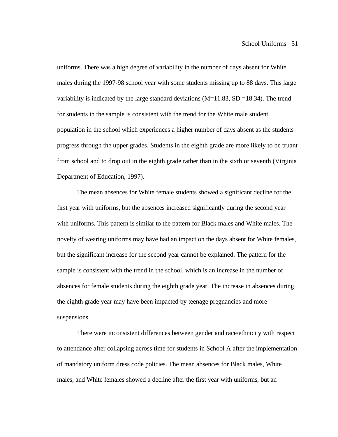uniforms. There was a high degree of variability in the number of days absent for White males during the 1997-98 school year with some students missing up to 88 days. This large variability is indicated by the large standard deviations  $(M=11.83, SD=18.34)$ . The trend for students in the sample is consistent with the trend for the White male student population in the school which experiences a higher number of days absent as the students progress through the upper grades. Students in the eighth grade are more likely to be truant from school and to drop out in the eighth grade rather than in the sixth or seventh (Virginia Department of Education, 1997).

The mean absences for White female students showed a significant decline for the first year with uniforms, but the absences increased significantly during the second year with uniforms. This pattern is similar to the pattern for Black males and White males. The novelty of wearing uniforms may have had an impact on the days absent for White females, but the significant increase for the second year cannot be explained. The pattern for the sample is consistent with the trend in the school, which is an increase in the number of absences for female students during the eighth grade year. The increase in absences during the eighth grade year may have been impacted by teenage pregnancies and more suspensions.

There were inconsistent differences between gender and race/ethnicity with respect to attendance after collapsing across time for students in School A after the implementation of mandatory uniform dress code policies. The mean absences for Black males, White males, and White females showed a decline after the first year with uniforms, but an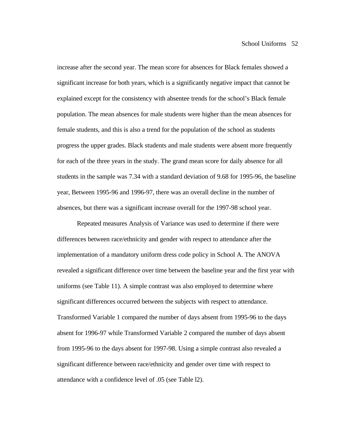increase after the second year. The mean score for absences for Black females showed a significant increase for both years, which is a significantly negative impact that cannot be explained except for the consistency with absentee trends for the school's Black female population. The mean absences for male students were higher than the mean absences for female students, and this is also a trend for the population of the school as students progress the upper grades. Black students and male students were absent more frequently for each of the three years in the study. The grand mean score for daily absence for all students in the sample was 7.34 with a standard deviation of 9.68 for 1995-96, the baseline year, Between 1995-96 and 1996-97, there was an overall decline in the number of absences, but there was a significant increase overall for the 1997-98 school year.

Repeated measures Analysis of Variance was used to determine if there were differences between race/ethnicity and gender with respect to attendance after the implementation of a mandatory uniform dress code policy in School A. The ANOVA revealed a significant difference over time between the baseline year and the first year with uniforms (see Table 11). A simple contrast was also employed to determine where significant differences occurred between the subjects with respect to attendance. Transformed Variable 1 compared the number of days absent from 1995-96 to the days absent for 1996-97 while Transformed Variable 2 compared the number of days absent from 1995-96 to the days absent for 1997-98. Using a simple contrast also revealed a significant difference between race/ethnicity and gender over time with respect to attendance with a confidence level of .05 (see Table l2).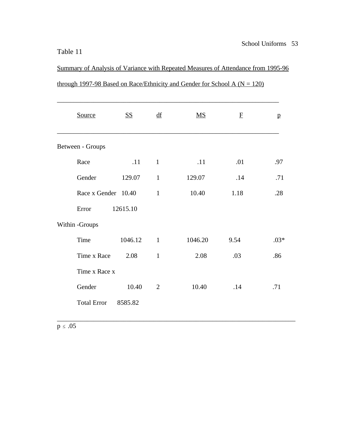| <b>Source</b>       | <b>SS</b> | df             | $\underline{\mathbf{M}}\underline{\mathbf{S}}$ | ${\bf F}$ | $\mathbf{p}$ |
|---------------------|-----------|----------------|------------------------------------------------|-----------|--------------|
| Between - Groups    |           |                |                                                |           |              |
| Race                | .11       | $\mathbf{1}$   | .11                                            | .01       | .97          |
| Gender              | 129.07    | $\mathbf{1}$   | 129.07                                         | .14       | .71          |
| Race x Gender 10.40 |           | $\mathbf{1}$   | 10.40                                          | 1.18      | .28          |
| Error               | 12615.10  |                |                                                |           |              |
| Within - Groups     |           |                |                                                |           |              |
| Time                | 1046.12   | $\blacksquare$ | 1046.20                                        | 9.54      | $.03*$       |
| Time x Race         | 2.08      | $\mathbf{1}$   | 2.08                                           | .03       | .86          |
| Time x Race x       |           |                |                                                |           |              |
| Gender              | 10.40     | $\overline{2}$ | 10.40                                          | .14       | .71          |
| <b>Total Error</b>  | 8585.82   |                |                                                |           |              |
|                     |           |                |                                                |           |              |

\_\_\_\_\_\_\_\_\_\_\_\_\_\_\_\_\_\_\_\_\_\_\_\_\_\_\_\_\_\_\_\_\_\_\_\_\_\_\_\_\_\_\_\_\_\_\_\_\_\_\_\_\_\_\_\_\_\_\_\_\_\_\_\_\_\_\_\_\_\_\_\_

# through 1997-98 Based on Race/Ethnicity and Gender for School A ( $N = 120$ )

Summary of Analysis of Variance with Repeated Measures of Attendance from 1995-96

 $p \le .05$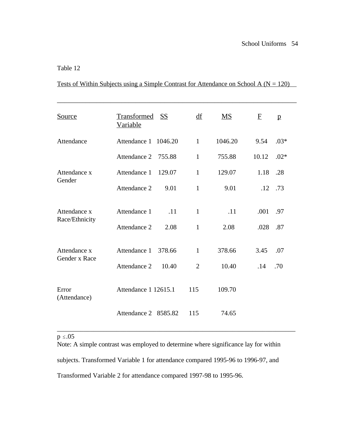Tests of Within Subjects using a Simple Contrast for Attendance on School A ( $N = 120$ )

| Source                        | Transformed SS<br><b>Variable</b> |         | df             | MS      | $\mathbf{F}$ | $\mathbf{p}$ |
|-------------------------------|-----------------------------------|---------|----------------|---------|--------------|--------------|
| Attendance                    | Attendance 1                      | 1046.20 | $\mathbf{1}$   | 1046.20 | 9.54         | $.03*$       |
|                               | Attendance 2                      | 755.88  | $\mathbf{1}$   | 755.88  | 10.12        | $.02*$       |
| Attendance x<br>Gender        | Attendance 1                      | 129.07  | $\mathbf{1}$   | 129.07  | 1.18         | .28          |
|                               | Attendance 2                      | 9.01    | $\mathbf{1}$   | 9.01    | .12          | .73          |
| Attendance x                  | Attendance 1                      | .11     | $\mathbf{1}$   | .11     | .001         | .97          |
| Race/Ethnicity                | Attendance 2                      | 2.08    | $\mathbf{1}$   | 2.08    | .028         | .87          |
| Attendance x<br>Gender x Race | Attendance 1                      | 378.66  | $\mathbf{1}$   | 378.66  | 3.45         | .07          |
|                               | Attendance 2                      | 10.40   | $\overline{2}$ | 10.40   | .14          | .70          |
| Error<br>(Attendance)         | Attendance 1 12615.1              |         | 115            | 109.70  |              |              |
|                               | Attendance 2 8585.82              |         | 115            | 74.65   |              |              |

## $p \le .05$

Note: A simple contrast was employed to determine where significance lay for within subjects. Transformed Variable 1 for attendance compared 1995-96 to 1996-97, and Transformed Variable 2 for attendance compared 1997-98 to 1995-96.

\_\_\_\_\_\_\_\_\_\_\_\_\_\_\_\_\_\_\_\_\_\_\_\_\_\_\_\_\_\_\_\_\_\_\_\_\_\_\_\_\_\_\_\_\_\_\_\_\_\_\_\_\_\_\_\_\_\_\_\_\_\_\_\_\_\_\_\_\_\_\_\_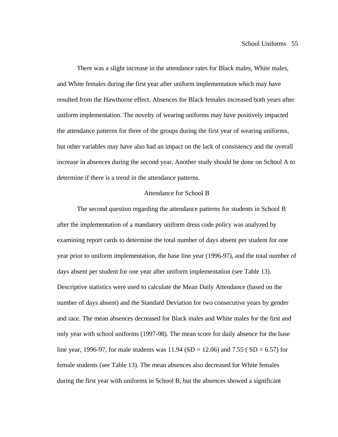There was a slight increase in the attendance rates for Black males, White males, and White females during the first year after uniform implementation which may have resulted from the Hawthorne effect. Absences for Black females increased both years after uniform implementation. The novelty of wearing uniforms may have positively impacted the attendance patterns for three of the groups during the first year of wearing uniforms, but other variables may have also had an impact on the lack of consistency and the overall increase in absences during the second year. Another study should be done on School A to determine if there is a trend in the attendance patterns.

### Attendance for School B

The second question regarding the attendance patterns for students in School B after the implementation of a mandatory uniform dress code policy was analyzed by examining report cards to determine the total number of days absent per student for one year prior to uniform implementation, the base line year (1996-97), and the total number of days absent per student for one year after uniform implementation (see Table 13). Descriptive statistics were used to calculate the Mean Daily Attendance (based on the number of days absent) and the Standard Deviation for two consecutive years by gender and race. The mean absences decreased for Black males and White males for the first and only year with school uniforms (1997-98). The mean score for daily absence for the base line year, 1996-97, for male students was  $11.94$  (SD = 12.06) and 7.55 (SD = 6.57) for female students (see Table 13). The mean absences also decreased for White females during the first year with uniforms in School B, but the absences showed a significant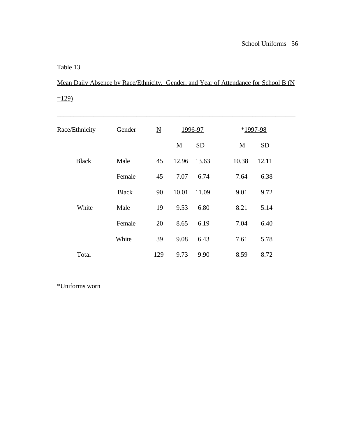Mean Daily Absence by Race/Ethnicity, Gender, and Year of Attendance for School B (N  $=129$ )

| Race/Ethnicity | Gender       | $\overline{\mathbf{N}}$ | 1996-97                  |       | *1997-98                       |
|----------------|--------------|-------------------------|--------------------------|-------|--------------------------------|
|                |              |                         | $\underline{\mathbf{M}}$ | SD    | SD<br>$\underline{\mathbf{M}}$ |
| <b>Black</b>   | Male         | 45                      | 12.96                    | 13.63 | 10.38<br>12.11                 |
|                | Female       | 45                      | 7.07                     | 6.74  | 7.64<br>6.38                   |
|                | <b>Black</b> | 90                      | 10.01                    | 11.09 | 9.01<br>9.72                   |
| White          | Male         | 19                      | 9.53                     | 6.80  | 8.21<br>5.14                   |
|                | Female       | 20                      | 8.65                     | 6.19  | 7.04<br>6.40                   |
|                | White        | 39                      | 9.08                     | 6.43  | 7.61<br>5.78                   |
| Total          |              | 129                     | 9.73                     | 9.90  | 8.59<br>8.72                   |
|                |              |                         |                          |       |                                |

\*Uniforms worn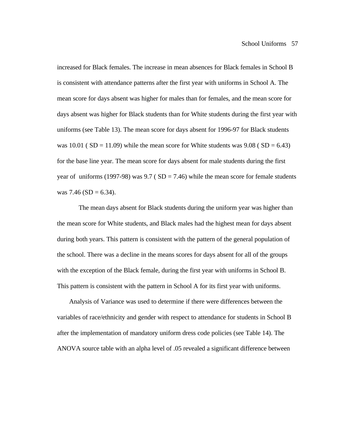increased for Black females. The increase in mean absences for Black females in School B is consistent with attendance patterns after the first year with uniforms in School A. The mean score for days absent was higher for males than for females, and the mean score for days absent was higher for Black students than for White students during the first year with uniforms (see Table 13). The mean score for days absent for 1996-97 for Black students was  $10.01$  ( SD = 11.09) while the mean score for White students was  $9.08$  ( SD = 6.43) for the base line year. The mean score for days absent for male students during the first year of uniforms (1997-98) was  $9.7$  (SD = 7.46) while the mean score for female students was  $7.46$  (SD = 6.34).

 The mean days absent for Black students during the uniform year was higher than the mean score for White students, and Black males had the highest mean for days absent during both years. This pattern is consistent with the pattern of the general population of the school. There was a decline in the means scores for days absent for all of the groups with the exception of the Black female, during the first year with uniforms in School B. This pattern is consistent with the pattern in School A for its first year with uniforms.

 Analysis of Variance was used to determine if there were differences between the variables of race/ethnicity and gender with respect to attendance for students in School B after the implementation of mandatory uniform dress code policies (see Table 14). The ANOVA source table with an alpha level of .05 revealed a significant difference between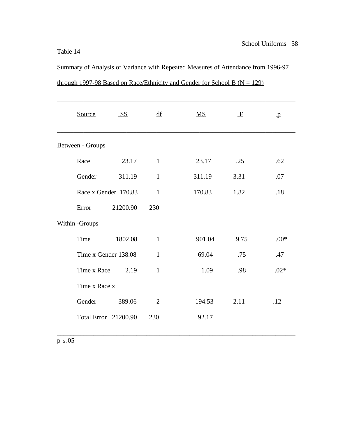Summary of Analysis of Variance with Repeated Measures of Attendance from 1996-97 through 1997-98 Based on Race/Ethnicity and Gender for School B ( $N = 129$ )

| Source               | <b>SS</b> | df             | $\overline{\text{MS}}$ | $\mathbf{F}$ | $\mathbf{p}$ |
|----------------------|-----------|----------------|------------------------|--------------|--------------|
| Between - Groups     |           |                |                        |              |              |
| Race                 | 23.17     | $\mathbf{1}$   | 23.17                  | .25          | .62          |
| Gender               | 311.19    | $\mathbf{1}$   | 311.19                 | 3.31         | .07          |
| Race x Gender 170.83 |           | $\mathbf{1}$   | 170.83                 | 1.82         | .18          |
| Error                | 21200.90  | 230            |                        |              |              |
| Within -Groups       |           |                |                        |              |              |
| Time                 | 1802.08   | $\mathbf{1}$   | 901.04                 | 9.75         | $.00*$       |
| Time x Gender 138.08 |           | $\mathbf{1}$   | 69.04                  | .75          | .47          |
| Time x Race          | 2.19      | $\mathbf{1}$   | 1.09                   | .98          | $.02*$       |
| Time x Race x        |           |                |                        |              |              |
| Gender               | 389.06    | $\overline{2}$ | 194.53                 | 2.11         | .12          |
| Total Error 21200.90 |           | 230            | 92.17                  |              |              |
|                      |           |                |                        |              |              |

 $p \le .05$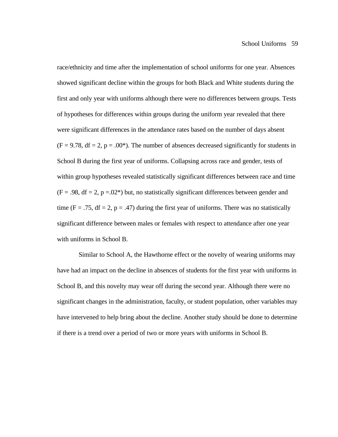race/ethnicity and time after the implementation of school uniforms for one year. Absences showed significant decline within the groups for both Black and White students during the first and only year with uniforms although there were no differences between groups. Tests of hypotheses for differences within groups during the uniform year revealed that there were significant differences in the attendance rates based on the number of days absent  $(F = 9.78, df = 2, p = .00<sup>*</sup>)$ . The number of absences decreased significantly for students in School B during the first year of uniforms. Collapsing across race and gender, tests of within group hypotheses revealed statistically significant differences between race and time  $(F = .98, df = 2, p = .02*)$  but, no statistically significant differences between gender and time (F = .75, df = 2, p = .47) during the first year of uniforms. There was no statistically significant difference between males or females with respect to attendance after one year with uniforms in School B.

 Similar to School A, the Hawthorne effect or the novelty of wearing uniforms may have had an impact on the decline in absences of students for the first year with uniforms in School B, and this novelty may wear off during the second year. Although there were no significant changes in the administration, faculty, or student population, other variables may have intervened to help bring about the decline. Another study should be done to determine if there is a trend over a period of two or more years with uniforms in School B.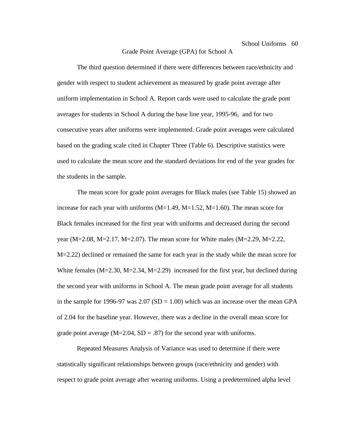#### Grade Point Average (GPA) for School A

The third question determined if there were differences between race/ethnicity and gender with respect to student achievement as measured by grade point average after uniform implementation in School A. Report cards were used to calculate the grade pont averages for students in School A during the base line year, 1995-96, and for two consecutive years after uniforms were implemented. Grade point averages were calculated based on the grading scale cited in Chapter Three (Table 6). Descriptive statistics were used to calculate the mean score and the standard deviations for end of the year grades for the students in the sample.

The mean score for grade point averages for Black males (see Table 15) showed an increase for each year with uniforms  $(M=1.49, M=1.52, M=1.60)$ . The mean score for Black females increased for the first year with uniforms and decreased during the second year (M=2.08, M=2.17, M=2.07). The mean score for White males (M=2.29, M=2.22, M=2.22) declined or remained the same for each year in the study while the mean score for White females  $(M=2.30, M=2.34, M=2.29)$  increased for the first year, but declined during the second year with uniforms in School A. The mean grade point average for all students in the sample for 1996-97 was  $2.07$  (SD = 1.00) which was an increase over the mean GPA of 2.04 for the baseline year. However, there was a decline in the overall mean score for grade point average  $(M=2.04, SD = .87)$  for the second year with uniforms.

Repeated Measures Analysis of Variance was used to determine if there were statistically significant relationships between groups (race/ethnicity and gender) with respect to grade point average after wearing uniforms. Using a predetermined alpha level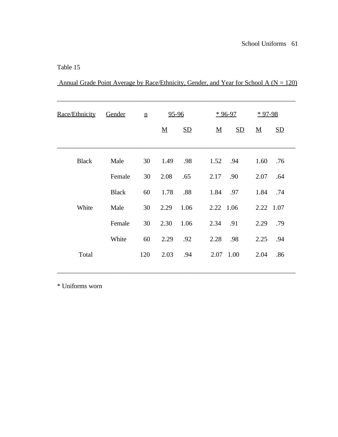Annual Grade Point Average by Race/Ethnicity, Gender, and Year for School A ( $N = 120$ )

| Race/Ethnicity | Gender       | $\underline{\mathbf{n}}$ | 95-96    |      |      |           | $*96-97$                  | $*97-98$                 |     |
|----------------|--------------|--------------------------|----------|------|------|-----------|---------------------------|--------------------------|-----|
|                |              |                          | <u>M</u> | SD   |      | ${\bf M}$ | $\underline{\mathrm{SD}}$ | $\underline{\mathbf{M}}$ | SD  |
|                |              |                          |          |      |      |           |                           |                          |     |
| <b>Black</b>   | Male         | 30                       | 1.49     | .98  |      |           | 1.52 .94                  | 1.60                     | .76 |
|                | Female       | 30                       | 2.08     | .65  | 2.17 |           | .90                       | 2.07                     | .64 |
|                | <b>Black</b> | 60                       | 1.78     | .88  |      | 1.84      | .97                       | 1.84                     | .74 |
| White          | Male         | 30                       | 2.29     | 1.06 |      |           | 2.22 1.06                 | 2.22 1.07                |     |
|                | Female       | 30                       | 2.30     | 1.06 | 2.34 |           | .91                       | 2.29                     | .79 |
|                | White        | 60                       | 2.29     | .92  | 2.28 |           | .98                       | 2.25                     | .94 |
| Total          |              | 120                      | 2.03     | .94  |      |           | 2.07 1.00                 | 2.04                     | .86 |
|                |              |                          |          |      |      |           |                           |                          |     |

\* Uniforms worn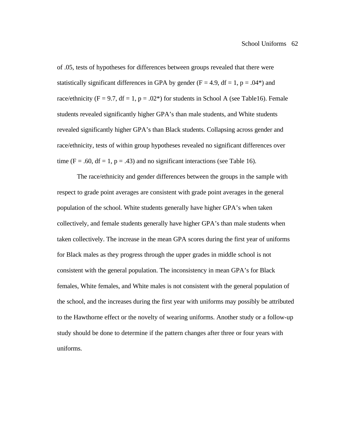of .05, tests of hypotheses for differences between groups revealed that there were statistically significant differences in GPA by gender ( $F = 4.9$ ,  $df = 1$ ,  $p = .04$ <sup>\*</sup>) and race/ethnicity (F = 9.7, df = 1, p = .02\*) for students in School A (see Table16). Female students revealed significantly higher GPA's than male students, and White students revealed significantly higher GPA's than Black students. Collapsing across gender and race/ethnicity, tests of within group hypotheses revealed no significant differences over time (F = .60, df = 1, p = .43) and no significant interactions (see Table 16).

The race/ethnicity and gender differences between the groups in the sample with respect to grade point averages are consistent with grade point averages in the general population of the school. White students generally have higher GPA's when taken collectively, and female students generally have higher GPA's than male students when taken collectively. The increase in the mean GPA scores during the first year of uniforms for Black males as they progress through the upper grades in middle school is not consistent with the general population. The inconsistency in mean GPA's for Black females, White females, and White males is not consistent with the general population of the school, and the increases during the first year with uniforms may possibly be attributed to the Hawthorne effect or the novelty of wearing uniforms. Another study or a follow-up study should be done to determine if the pattern changes after three or four years with uniforms.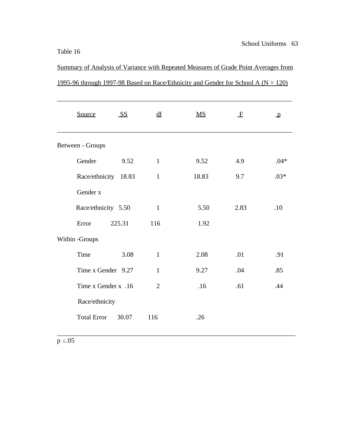Summary of Analysis of Variance with Repeated Measures of Grade Point Averages from 1995-96 through 1997-98 Based on Race/Ethnicity and Gender for School A ( $N = 120$ )

| Source               | S <sub>S</sub> | df             | MS    | $\mathbf{F}$ | $\mathbf{p}$ |
|----------------------|----------------|----------------|-------|--------------|--------------|
| Between - Groups     |                |                |       |              |              |
| Gender               | 9.52           | $\mathbf{1}$   | 9.52  | 4.9          | $.04*$       |
| Race/ethnicity 18.83 |                | $\mathbf{1}$   | 18.83 | 9.7          | $.03*$       |
| Gender x             |                |                |       |              |              |
| Race/ethnicity 5.50  |                | $\mathbf{1}$   | 5.50  | 2.83         | .10          |
| Error                | 225.31         | 116            | 1.92  |              |              |
| Within -Groups       |                |                |       |              |              |
| Time                 | 3.08           | $\mathbf{1}$   | 2.08  | .01          | .91          |
| Time x Gender 9.27   |                | $\mathbf{1}$   | 9.27  | .04          | .85          |
| Time x Gender x .16  |                | $\overline{2}$ | .16   | .61          | .44          |
| Race/ethnicity       |                |                |       |              |              |
| <b>Total Error</b>   | 30.07          | 116            | .26   |              |              |

 $p \le .05$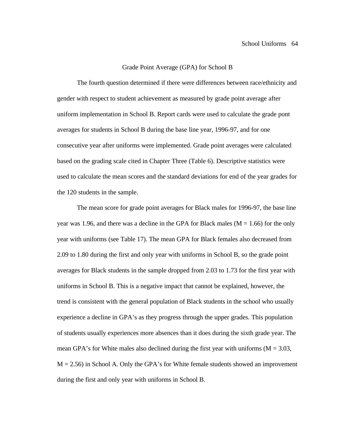#### Grade Point Average (GPA) for School B

The fourth question determined if there were differences between race/ethnicity and gender with respect to student achievement as measured by grade point average after uniform implementation in School B. Report cards were used to calculate the grade pont averages for students in School B during the base line year, 1996-97, and for one consecutive year after uniforms were implemented. Grade point averages were calculated based on the grading scale cited in Chapter Three (Table 6). Descriptive statistics were used to calculate the mean scores and the standard deviations for end of the year grades for the 120 students in the sample.

The mean score for grade point averages for Black males for 1996-97, the base line year was 1.96, and there was a decline in the GPA for Black males ( $M = 1.66$ ) for the only year with uniforms (see Table 17). The mean GPA for Black females also decreased from 2.09 to 1.80 during the first and only year with uniforms in School B, so the grade point averages for Black students in the sample dropped from 2.03 to 1.73 for the first year with uniforms in School B. This is a negative impact that cannot be explained, however, the trend is consistent with the general population of Black students in the school who usually experience a decline in GPA's as they progress through the upper grades. This population of students usually experiences more absences than it does during the sixth grade year. The mean GPA's for White males also declined during the first year with uniforms  $(M = 3.03,$  $M = 2.56$ ) in School A. Only the GPA's for White female students showed an improvement during the first and only year with uniforms in School B.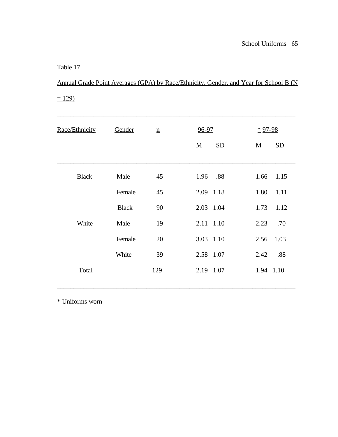Annual Grade Point Averages (GPA) by Race/Ethnicity, Gender, and Year for School B (N  $= 129$ 

| Race/Ethnicity | Gender       | $\underline{\mathbf{n}}$ | $96 - 97$<br>SD<br>$\underline{\mathbf{M}}$ | $*97-98$<br>$\underline{\mathbf{M}}$<br>SD |
|----------------|--------------|--------------------------|---------------------------------------------|--------------------------------------------|
| <b>Black</b>   | Male         | 45                       | .88<br>1.96                                 | 1.15<br>1.66                               |
|                | Female       | 45                       | 2.09 1.18                                   | 1.11<br>1.80                               |
|                | <b>Black</b> | 90                       | 2.03 1.04                                   | 1.12<br>1.73                               |
| White          | Male         | 19                       | 2.11 1.10                                   | 2.23<br>.70                                |
|                | Female       | 20                       | 3.03 1.10                                   | 2.56<br>1.03                               |
|                | White        | 39                       | 2.58 1.07                                   | 2.42<br>.88                                |
| Total          |              | 129                      | 2.19 1.07                                   | 1.94 1.10                                  |

\* Uniforms worn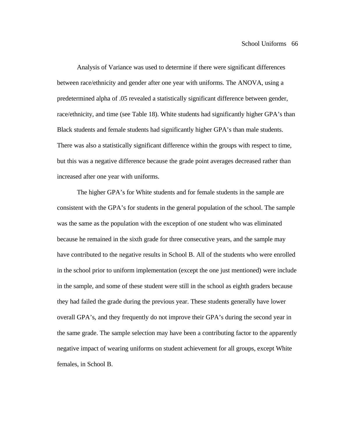Analysis of Variance was used to determine if there were significant differences between race/ethnicity and gender after one year with uniforms. The ANOVA, using a predetermined alpha of .05 revealed a statistically significant difference between gender, race/ethnicity, and time (see Table 18). White students had significantly higher GPA's than Black students and female students had significantly higher GPA's than male students. There was also a statistically significant difference within the groups with respect to time, but this was a negative difference because the grade point averages decreased rather than increased after one year with uniforms.

The higher GPA's for White students and for female students in the sample are consistent with the GPA's for students in the general population of the school. The sample was the same as the population with the exception of one student who was eliminated because he remained in the sixth grade for three consecutive years, and the sample may have contributed to the negative results in School B. All of the students who were enrolled in the school prior to uniform implementation (except the one just mentioned) were include in the sample, and some of these student were still in the school as eighth graders because they had failed the grade during the previous year. These students generally have lower overall GPA's, and they frequently do not improve their GPA's during the second year in the same grade. The sample selection may have been a contributing factor to the apparently negative impact of wearing uniforms on student achievement for all groups, except White females, in School B.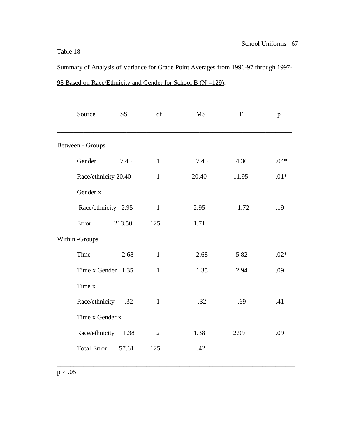Summary of Analysis of Variance for Grade Point Averages from 1996-97 through 1997- 98 Based on Race/Ethnicity and Gender for School B (N = 129).

| Source<br>S <sub>S</sub><br>df<br>$\overline{\text{MS}}$<br>$\mathbf{F}$<br>$\mathbf{p}$<br>Between - Groups<br>Gender<br>4.36<br>7.45<br>$\mathbf{1}$<br>7.45<br>Race/ethnicity 20.40<br>20.40<br>11.95<br>$\mathbf{1}$<br>Gender x<br>Race/ethnicity 2.95<br>$\mathbf{1}$<br>2.95<br>1.72<br>Error<br>213.50<br>125<br>1.71<br>Within -Groups<br>Time<br>2.68<br>$\mathbf{1}$<br>2.68<br>5.82<br>Time x Gender 1.35<br>2.94<br>$\mathbf{1}$<br>1.35<br>Time x<br>Race/ethnicity .32<br>$\mathbf{1}$<br>.32<br>.69<br>Time x Gender x<br>Race/ethnicity 1.38<br>1.38<br>$\overline{2}$<br>2.99 |  |  |        |
|-------------------------------------------------------------------------------------------------------------------------------------------------------------------------------------------------------------------------------------------------------------------------------------------------------------------------------------------------------------------------------------------------------------------------------------------------------------------------------------------------------------------------------------------------------------------------------------------------|--|--|--------|
|                                                                                                                                                                                                                                                                                                                                                                                                                                                                                                                                                                                                 |  |  |        |
|                                                                                                                                                                                                                                                                                                                                                                                                                                                                                                                                                                                                 |  |  |        |
|                                                                                                                                                                                                                                                                                                                                                                                                                                                                                                                                                                                                 |  |  | $.04*$ |
|                                                                                                                                                                                                                                                                                                                                                                                                                                                                                                                                                                                                 |  |  | $.01*$ |
|                                                                                                                                                                                                                                                                                                                                                                                                                                                                                                                                                                                                 |  |  |        |
|                                                                                                                                                                                                                                                                                                                                                                                                                                                                                                                                                                                                 |  |  | .19    |
|                                                                                                                                                                                                                                                                                                                                                                                                                                                                                                                                                                                                 |  |  |        |
|                                                                                                                                                                                                                                                                                                                                                                                                                                                                                                                                                                                                 |  |  |        |
|                                                                                                                                                                                                                                                                                                                                                                                                                                                                                                                                                                                                 |  |  | $.02*$ |
|                                                                                                                                                                                                                                                                                                                                                                                                                                                                                                                                                                                                 |  |  | .09    |
|                                                                                                                                                                                                                                                                                                                                                                                                                                                                                                                                                                                                 |  |  |        |
|                                                                                                                                                                                                                                                                                                                                                                                                                                                                                                                                                                                                 |  |  | .41    |
|                                                                                                                                                                                                                                                                                                                                                                                                                                                                                                                                                                                                 |  |  |        |
|                                                                                                                                                                                                                                                                                                                                                                                                                                                                                                                                                                                                 |  |  | .09    |
| <b>Total Error</b><br>.42<br>57.61<br>125                                                                                                                                                                                                                                                                                                                                                                                                                                                                                                                                                       |  |  |        |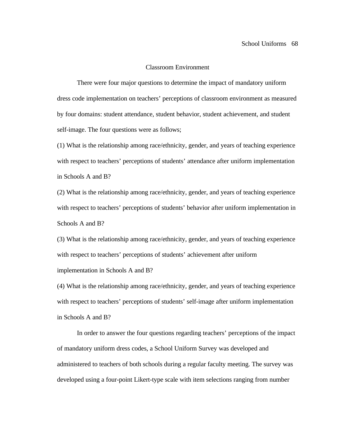### Classroom Environment

There were four major questions to determine the impact of mandatory uniform dress code implementation on teachers' perceptions of classroom environment as measured by four domains: student attendance, student behavior, student achievement, and student self-image. The four questions were as follows;

(1) What is the relationship among race/ethnicity, gender, and years of teaching experience with respect to teachers' perceptions of students' attendance after uniform implementation in Schools A and B?

(2) What is the relationship among race/ethnicity, gender, and years of teaching experience with respect to teachers' perceptions of students' behavior after uniform implementation in Schools A and B?

(3) What is the relationship among race/ethnicity, gender, and years of teaching experience with respect to teachers' perceptions of students' achievement after uniform implementation in Schools A and B?

(4) What is the relationship among race/ethnicity, gender, and years of teaching experience with respect to teachers' perceptions of students' self-image after uniform implementation in Schools A and B?

In order to answer the four questions regarding teachers' perceptions of the impact of mandatory uniform dress codes, a School Uniform Survey was developed and administered to teachers of both schools during a regular faculty meeting. The survey was developed using a four-point Likert-type scale with item selections ranging from number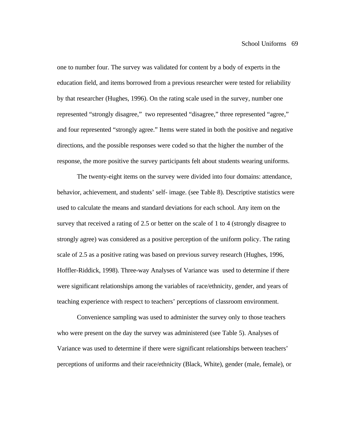one to number four. The survey was validated for content by a body of experts in the education field, and items borrowed from a previous researcher were tested for reliability by that researcher (Hughes, 1996). On the rating scale used in the survey, number one represented "strongly disagree," two represented "disagree," three represented "agree," and four represented "strongly agree." Items were stated in both the positive and negative directions, and the possible responses were coded so that the higher the number of the response, the more positive the survey participants felt about students wearing uniforms.

The twenty-eight items on the survey were divided into four domains: attendance, behavior, achievement, and students' self- image. (see Table 8). Descriptive statistics were used to calculate the means and standard deviations for each school. Any item on the survey that received a rating of 2.5 or better on the scale of 1 to 4 (strongly disagree to strongly agree) was considered as a positive perception of the uniform policy. The rating scale of 2.5 as a positive rating was based on previous survey research (Hughes, 1996, Hoffler-Riddick, 1998). Three-way Analyses of Variance was used to determine if there were significant relationships among the variables of race/ethnicity, gender, and years of teaching experience with respect to teachers' perceptions of classroom environment.

Convenience sampling was used to administer the survey only to those teachers who were present on the day the survey was administered (see Table 5). Analyses of Variance was used to determine if there were significant relationships between teachers' perceptions of uniforms and their race/ethnicity (Black, White), gender (male, female), or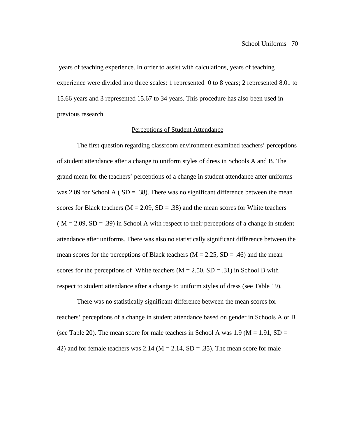years of teaching experience. In order to assist with calculations, years of teaching experience were divided into three scales: 1 represented 0 to 8 years; 2 represented 8.01 to 15.66 years and 3 represented 15.67 to 34 years. This procedure has also been used in previous research.

#### Perceptions of Student Attendance

The first question regarding classroom environment examined teachers' perceptions of student attendance after a change to uniform styles of dress in Schools A and B. The grand mean for the teachers' perceptions of a change in student attendance after uniforms was 2.09 for School A ( $SD = .38$ ). There was no significant difference between the mean scores for Black teachers ( $M = 2.09$ ,  $SD = .38$ ) and the mean scores for White teachers  $(M = 2.09, SD = .39)$  in School A with respect to their perceptions of a change in student attendance after uniforms. There was also no statistically significant difference between the mean scores for the perceptions of Black teachers ( $M = 2.25$ ,  $SD = .46$ ) and the mean scores for the perceptions of White teachers ( $M = 2.50$ ,  $SD = .31$ ) in School B with respect to student attendance after a change to uniform styles of dress (see Table 19).

There was no statistically significant difference between the mean scores for teachers' perceptions of a change in student attendance based on gender in Schools A or B (see Table 20). The mean score for male teachers in School A was  $1.9$  (M = 1.91, SD = 42) and for female teachers was 2.14 ( $M = 2.14$ ,  $SD = .35$ ). The mean score for male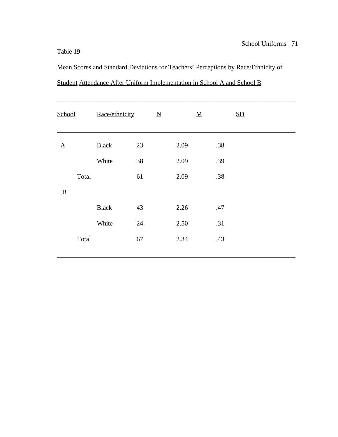Mean Scores and Standard Deviations for Teachers' Perceptions by Race/Ethnicity of Student Attendance After Uniform Implementation in School A and School B

\_\_\_\_\_\_\_\_\_\_\_\_\_\_\_\_\_\_\_\_\_\_\_\_\_\_\_\_\_\_\_\_\_\_\_\_\_\_\_\_\_\_\_\_\_\_\_\_\_\_\_\_\_\_\_\_\_\_\_\_\_\_\_\_\_\_\_\_\_\_\_\_

| School       | Race/ethnicity | $\underline{\mathbf{N}}$ | $\underline{\mathbf{M}}$ |     | SD |
|--------------|----------------|--------------------------|--------------------------|-----|----|
| $\mathbf{A}$ | <b>Black</b>   | 23                       | 2.09                     | .38 |    |
|              | White          | 38                       | 2.09                     | .39 |    |
| Total        |                | 61                       | 2.09                     | .38 |    |
| $\, {\bf B}$ |                |                          |                          |     |    |
|              | <b>Black</b>   | 43                       | 2.26                     | .47 |    |
|              | White          | 24                       | 2.50                     | .31 |    |
| Total        |                | 67                       | 2.34                     | .43 |    |
|              |                |                          |                          |     |    |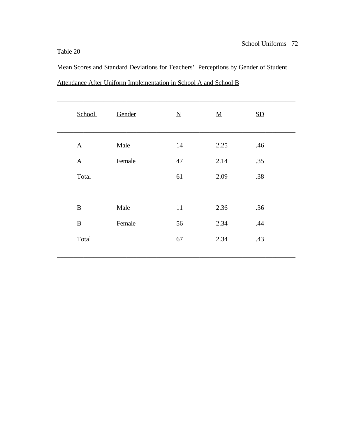Mean Scores and Standard Deviations for Teachers' Perceptions by Gender of Student Attendance After Uniform Implementation in School A and School B

| School       | Gender | $\underline{\mathbf{N}}$ | $\underline{M}$ | SD  |
|--------------|--------|--------------------------|-----------------|-----|
| $\mathbf{A}$ | Male   | 14                       | 2.25            | .46 |
| $\mathbf{A}$ | Female | 47                       | 2.14            | .35 |
| Total        |        | 61                       | 2.09            | .38 |
|              |        |                          |                 |     |
| $\, {\bf B}$ | Male   | 11                       | 2.36            | .36 |
| $\, {\bf B}$ | Female | 56                       | 2.34            | .44 |
| Total        |        | 67                       | 2.34            | .43 |
|              |        |                          |                 |     |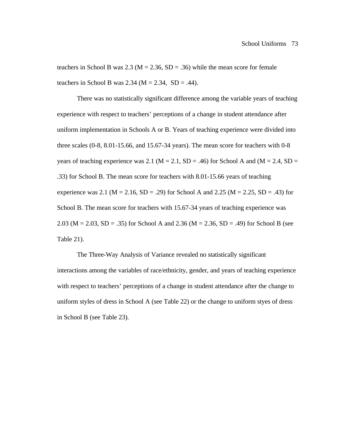teachers in School B was 2.3 ( $M = 2.36$ , SD = .36) while the mean score for female teachers in School B was  $2.34$  (M =  $2.34$ , SD = .44).

There was no statistically significant difference among the variable years of teaching experience with respect to teachers' perceptions of a change in student attendance after uniform implementation in Schools A or B. Years of teaching experience were divided into three scales (0-8, 8.01-15.66, and 15.67-34 years). The mean score for teachers with 0-8 years of teaching experience was 2.1 ( $M = 2.1$ ,  $SD = .46$ ) for School A and ( $M = 2.4$ ,  $SD =$ .33) for School B. The mean score for teachers with 8.01-15.66 years of teaching experience was 2.1 ( $M = 2.16$ ,  $SD = .29$ ) for School A and 2.25 ( $M = 2.25$ ,  $SD = .43$ ) for School B. The mean score for teachers with 15.67-34 years of teaching experience was 2.03 ( $M = 2.03$ ,  $SD = .35$ ) for School A and 2.36 ( $M = 2.36$ ,  $SD = .49$ ) for School B (see Table 21).

The Three-Way Analysis of Variance revealed no statistically significant interactions among the variables of race/ethnicity, gender, and years of teaching experience with respect to teachers' perceptions of a change in student attendance after the change to uniform styles of dress in School A (see Table 22) or the change to uniform styes of dress in School B (see Table 23).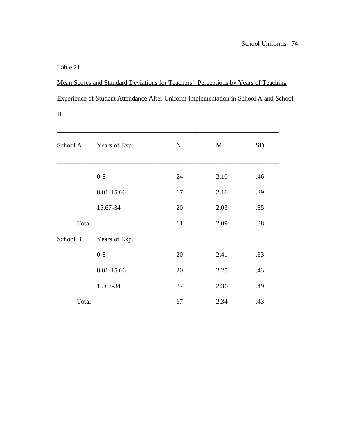$\underline{\mathbf{B}}$ 

Mean Scores and Standard Deviations for Teachers' Perceptions by Years of Teaching Experience of Student Attendance After Uniform Implementation in School A and School

| School A | Years of Exp. | $\overline{\mathbf{N}}$ | <u>M</u> | $\underline{\mathrm{SD}}$ |
|----------|---------------|-------------------------|----------|---------------------------|
|          | $0 - 8$       | 24                      | 2.10     | .46                       |
|          | 8.01-15.66    | 17                      | 2.16     | .29                       |
|          | 15.67-34      | 20                      | 2.03     | .35                       |
| Total    |               | 61                      | 2.09     | .38                       |
| School B | Years of Exp. |                         |          |                           |
|          | $0 - 8$       | 20                      | 2.41     | .33                       |
|          | 8.01-15.66    | 20                      | 2.25     | .43                       |
|          | 15.67-34      | 27                      | 2.36     | .49                       |
| Total    |               | 67                      | 2.34     | .43                       |
|          |               |                         |          |                           |

\_\_\_\_\_\_\_\_\_\_\_\_\_\_\_\_\_\_\_\_\_\_\_\_\_\_\_\_\_\_\_\_\_\_\_\_\_\_\_\_\_\_\_\_\_\_\_\_\_\_\_\_\_\_\_\_\_\_\_\_\_\_\_\_\_\_\_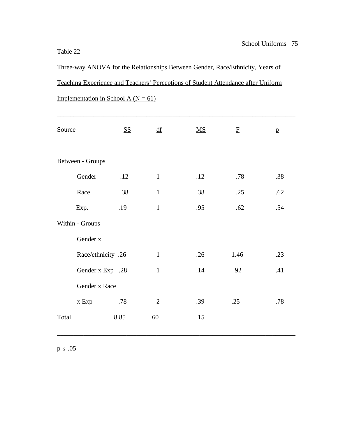Three-way ANOVA for the Relationships Between Gender, Race/Ethnicity, Years of Teaching Experience and Teachers' Perceptions of Student Attendance after Uniform Implementation in School A ( $N = 61$ )

| Source |                    | <u>SS</u> | $\underline{df}$ | $\overline{\text{MS}}$ | $\mathbf F$ | $\mathbf{p}$ |
|--------|--------------------|-----------|------------------|------------------------|-------------|--------------|
|        | Between - Groups   |           |                  |                        |             |              |
|        | Gender             | .12       | $\mathbf{1}$     | .12                    | .78         | .38          |
|        | Race               | .38       | $\mathbf{1}$     | .38                    | .25         | .62          |
|        | Exp.               | .19       | $\mathbf{1}$     | .95                    | .62         | .54          |
|        | Within - Groups    |           |                  |                        |             |              |
|        | Gender x           |           |                  |                        |             |              |
|        | Race/ethnicity .26 |           | $\mathbf{1}$     | .26                    | 1.46        | .23          |
|        | Gender x Exp .28   |           | $\mathbf{1}$     | .14                    | .92         | .41          |
|        | Gender x Race      |           |                  |                        |             |              |
|        | x Exp              | .78       | $\mathbf{2}$     | .39                    | .25         | .78          |
| Total  |                    | 8.85      | 60               | .15                    |             |              |

 $p \le .05$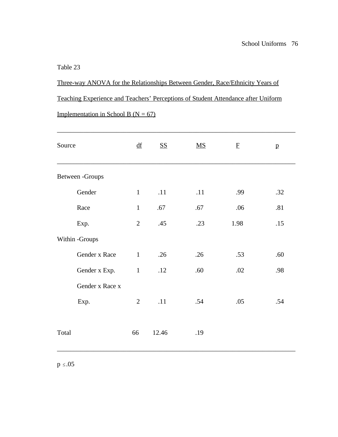Three-way ANOVA for the Relationships Between Gender, Race/Ethnicity Years of Teaching Experience and Teachers' Perceptions of Student Attendance after Uniform

\_\_\_\_\_\_\_\_\_\_\_\_\_\_\_\_\_\_\_\_\_\_\_\_\_\_\_\_\_\_\_\_\_\_\_\_\_\_\_\_\_\_\_\_\_\_\_\_\_\_\_\_\_\_\_\_\_\_\_\_\_\_\_\_\_\_\_\_\_\_\_\_

Implementation in School B ( $N = 67$ )

| Source          | df             | <b>SS</b> | $MS$ | $\mathbf F$ | $\mathbf{p}$ |
|-----------------|----------------|-----------|------|-------------|--------------|
| Between -Groups |                |           |      |             |              |
| Gender          | $\mathbf{1}$   | .11       | .11  | .99         | .32          |
| Race            | $\mathbf{1}$   | .67       | .67  | .06         | .81          |
| Exp.            | $\overline{2}$ | .45       | .23  | 1.98        | .15          |
| Within -Groups  |                |           |      |             |              |
| Gender x Race   | $\mathbf{1}$   | .26       | .26  | .53         | .60          |
| Gender x Exp.   | $\mathbf{1}$   | .12       | .60  | .02         | .98          |
| Gender x Race x |                |           |      |             |              |
| Exp.            | $\overline{2}$ | .11       | .54  | .05         | .54          |
| Total           | 66             | 12.46     | .19  |             |              |

 $p \le .05$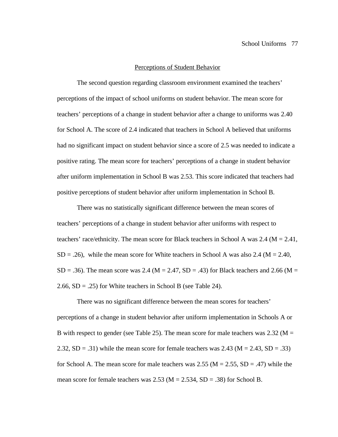#### Perceptions of Student Behavior

The second question regarding classroom environment examined the teachers' perceptions of the impact of school uniforms on student behavior. The mean score for teachers' perceptions of a change in student behavior after a change to uniforms was 2.40 for School A. The score of 2.4 indicated that teachers in School A believed that uniforms had no significant impact on student behavior since a score of 2.5 was needed to indicate a positive rating. The mean score for teachers' perceptions of a change in student behavior after uniform implementation in School B was 2.53. This score indicated that teachers had positive perceptions of student behavior after uniform implementation in School B.

There was no statistically significant difference between the mean scores of teachers' perceptions of a change in student behavior after uniforms with respect to teachers' race/ethnicity. The mean score for Black teachers in School A was 2.4 ( $M = 2.41$ ,  $SD = .26$ ), while the mean score for White teachers in School A was also 2.4 ( $M = 2.40$ ,  $SD = .36$ ). The mean score was 2.4 (M = 2.47, SD = .43) for Black teachers and 2.66 (M = 2.66,  $SD = .25$ ) for White teachers in School B (see Table 24).

There was no significant difference between the mean scores for teachers' perceptions of a change in student behavior after uniform implementation in Schools A or B with respect to gender (see Table 25). The mean score for male teachers was 2.32 ( $M =$ 2.32,  $SD = .31$ ) while the mean score for female teachers was 2.43 ( $M = 2.43$ ,  $SD = .33$ ) for School A. The mean score for male teachers was  $2.55$  (M =  $2.55$ , SD = .47) while the mean score for female teachers was  $2.53$  (M =  $2.534$ , SD = .38) for School B.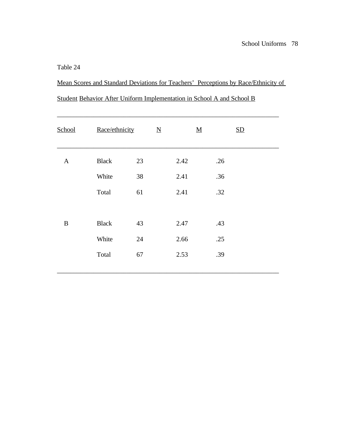Mean Scores and Standard Deviations for Teachers' Perceptions by Race/Ethnicity of Student Behavior After Uniform Implementation in School A and School B

| School       | Race/ethnicity |    | $\underline{N}$ |      | $\underline{\mathbf{M}}$ | SD |  |
|--------------|----------------|----|-----------------|------|--------------------------|----|--|
|              |                |    |                 |      |                          |    |  |
| $\mathbf{A}$ | <b>Black</b>   | 23 |                 | 2.42 | .26                      |    |  |
|              | White          | 38 |                 | 2.41 | .36                      |    |  |
|              | Total          | 61 |                 | 2.41 | .32                      |    |  |
|              |                |    |                 |      |                          |    |  |
| $\bf{B}$     | <b>Black</b>   | 43 |                 | 2.47 | .43                      |    |  |
|              | White          | 24 |                 | 2.66 | .25                      |    |  |
|              | Total          | 67 |                 | 2.53 | .39                      |    |  |
|              |                |    |                 |      |                          |    |  |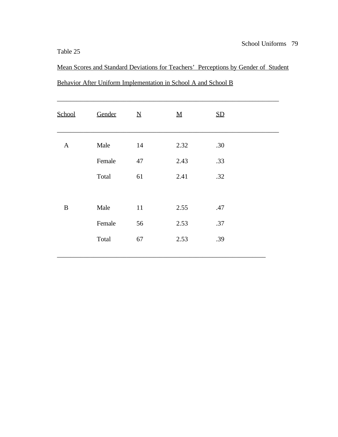Mean Scores and Standard Deviations for Teachers' Perceptions by Gender of Student Behavior After Uniform Implementation in School A and School B

| School       | Gender | $\underline{\mathbf{N}}$ | ${\bf M}$ | SD  |  |
|--------------|--------|--------------------------|-----------|-----|--|
| $\mathbf{A}$ | Male   | 14                       | 2.32      | .30 |  |
|              | Female | 47                       | 2.43      | .33 |  |
|              | Total  | 61                       | 2.41      | .32 |  |
|              |        |                          |           |     |  |
| $\, {\bf B}$ | Male   | $11\,$                   | 2.55      | .47 |  |
|              | Female | 56                       | 2.53      | .37 |  |
|              | Total  | 67                       | 2.53      | .39 |  |
|              |        |                          |           |     |  |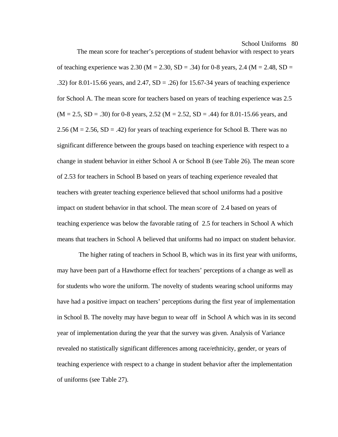The mean score for teacher's perceptions of student behavior with respect to years of teaching experience was 2.30 ( $M = 2.30$ ,  $SD = 0.34$ ) for 0-8 years, 2.4 ( $M = 2.48$ ,  $SD = 0.48$ ) .32) for 8.01-15.66 years, and 2.47,  $SD = .26$ ) for 15.67-34 years of teaching experience for School A. The mean score for teachers based on years of teaching experience was 2.5  $(M = 2.5, SD = .30)$  for 0-8 years, 2.52  $(M = 2.52, SD = .44)$  for 8.01-15.66 years, and 2.56 ( $M = 2.56$ ,  $SD = .42$ ) for years of teaching experience for School B. There was no significant difference between the groups based on teaching experience with respect to a change in student behavior in either School A or School B (see Table 26). The mean score of 2.53 for teachers in School B based on years of teaching experience revealed that teachers with greater teaching experience believed that school uniforms had a positive impact on student behavior in that school. The mean score of 2.4 based on years of teaching experience was below the favorable rating of 2.5 for teachers in School A which means that teachers in School A believed that uniforms had no impact on student behavior.

 The higher rating of teachers in School B, which was in its first year with uniforms, may have been part of a Hawthorne effect for teachers' perceptions of a change as well as for students who wore the uniform. The novelty of students wearing school uniforms may have had a positive impact on teachers' perceptions during the first year of implementation in School B. The novelty may have begun to wear off in School A which was in its second year of implementation during the year that the survey was given. Analysis of Variance revealed no statistically significant differences among race/ethnicity, gender, or years of teaching experience with respect to a change in student behavior after the implementation of uniforms (see Table 27).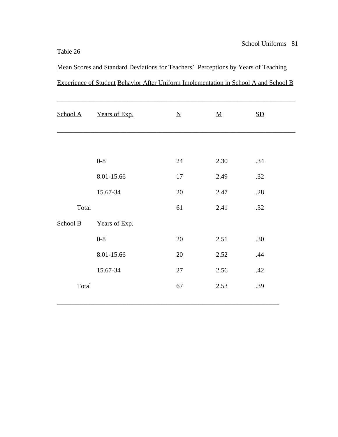Mean Scores and Standard Deviations for Teachers' Perceptions by Years of Teaching Experience of Student Behavior After Uniform Implementation in School A and School B

| School A | Years of Exp. | $\underline{\mathbf{N}}$ | $\underline{\mathbf{M}}$ | SD  |
|----------|---------------|--------------------------|--------------------------|-----|
|          |               |                          |                          |     |
|          | $0 - 8$       | 24                       | 2.30                     | .34 |
|          | 8.01-15.66    | 17                       | 2.49                     | .32 |
|          | 15.67-34      | 20                       | 2.47                     | .28 |
| Total    |               | 61                       | 2.41                     | .32 |
| School B | Years of Exp. |                          |                          |     |
|          | $0 - 8$       | 20                       | 2.51                     | .30 |
|          | 8.01-15.66    | 20                       | 2.52                     | .44 |
|          | 15.67-34      | 27                       | 2.56                     | .42 |
| Total    |               | 67                       | 2.53                     | .39 |
|          |               |                          |                          |     |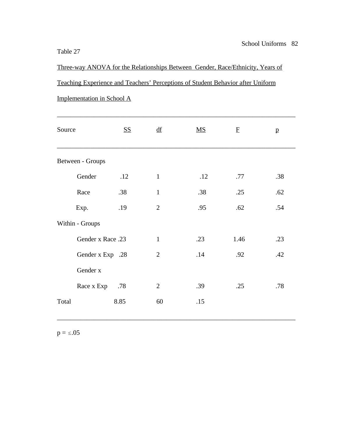Three-way ANOVA for the Relationships Between Gender, Race/Ethnicity, Years of Teaching Experience and Teachers' Perceptions of Student Behavior after Uniform

| Source            | <u>SS</u> | $\underline{df}$ | $\underline{\mathbf{M}}\underline{\mathbf{S}}$ | $\mathbf{F}$ | $\mathbf{p}$ |
|-------------------|-----------|------------------|------------------------------------------------|--------------|--------------|
| Between - Groups  |           |                  |                                                |              |              |
| Gender            | .12       | $\mathbf{1}$     | .12                                            | .77          | .38          |
| Race              | .38       | $\mathbf{1}$     | .38                                            | .25          | .62          |
| Exp.              | .19       | $\overline{2}$   | .95                                            | .62          | .54          |
| Within - Groups   |           |                  |                                                |              |              |
| Gender x Race .23 |           | $\mathbf{1}$     | .23                                            | 1.46         | .23          |
| Gender x Exp .28  |           | $\overline{2}$   | .14                                            | .92          | .42          |
| Gender x          |           |                  |                                                |              |              |
| Race x Exp .78    |           | $\overline{2}$   | .39                                            | .25          | .78          |
| Total             | 8.85      | 60               | .15                                            |              |              |
|                   |           |                  |                                                |              |              |

\_\_\_\_\_\_\_\_\_\_\_\_\_\_\_\_\_\_\_\_\_\_\_\_\_\_\_\_\_\_\_\_\_\_\_\_\_\_\_\_\_\_\_\_\_\_\_\_\_\_\_\_\_\_\_\_\_\_\_\_\_\_\_\_\_\_\_\_\_\_\_\_

Implementation in School A

 $p = \le .05$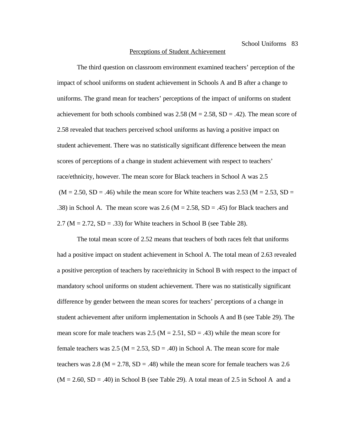#### Perceptions of Student Achievement

The third question on classroom environment examined teachers' perception of the impact of school uniforms on student achievement in Schools A and B after a change to uniforms. The grand mean for teachers' perceptions of the impact of uniforms on student achievement for both schools combined was  $2.58$  (M =  $2.58$ , SD = .42). The mean score of 2.58 revealed that teachers perceived school uniforms as having a positive impact on student achievement. There was no statistically significant difference between the mean scores of perceptions of a change in student achievement with respect to teachers' race/ethnicity, however. The mean score for Black teachers in School A was 2.5  $(M = 2.50, SD = .46)$  while the mean score for White teachers was 2.53 ( $M = 2.53, SD =$ .38) in School A. The mean score was 2.6 ( $M = 2.58$ , SD = .45) for Black teachers and 2.7 ( $M = 2.72$ ,  $SD = .33$ ) for White teachers in School B (see Table 28).

The total mean score of 2.52 means that teachers of both races felt that uniforms had a positive impact on student achievement in School A. The total mean of 2.63 revealed a positive perception of teachers by race/ethnicity in School B with respect to the impact of mandatory school uniforms on student achievement. There was no statistically significant difference by gender between the mean scores for teachers' perceptions of a change in student achievement after uniform implementation in Schools A and B (see Table 29). The mean score for male teachers was 2.5 ( $M = 2.51$ ,  $SD = .43$ ) while the mean score for female teachers was 2.5 ( $M = 2.53$ ,  $SD = .40$ ) in School A. The mean score for male teachers was 2.8 ( $M = 2.78$ ,  $SD = .48$ ) while the mean score for female teachers was 2.6  $(M = 2.60, SD = .40)$  in School B (see Table 29). A total mean of 2.5 in School A and a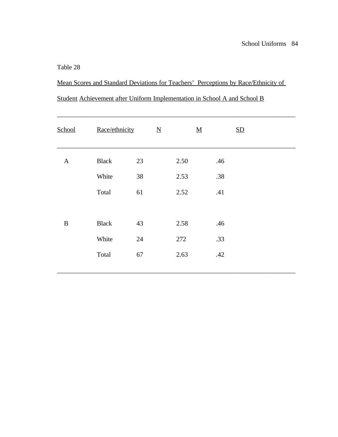Mean Scores and Standard Deviations for Teachers' Perceptions by Race/Ethnicity of

| Student Achievement after Uniform Implementation in School A and School B |  |  |  |  |  |
|---------------------------------------------------------------------------|--|--|--|--|--|
|                                                                           |  |  |  |  |  |

| School       | Race/ethnicity |    | $\underline{N}$ |      | $\underline{\mathbf{M}}$ |     | SD |  |
|--------------|----------------|----|-----------------|------|--------------------------|-----|----|--|
| $\mathbf{A}$ | <b>Black</b>   | 23 |                 | 2.50 |                          | .46 |    |  |
|              | White          | 38 |                 | 2.53 |                          | .38 |    |  |
|              | Total          | 61 |                 | 2.52 |                          | .41 |    |  |
|              |                |    |                 |      |                          |     |    |  |
| $\, {\bf B}$ | <b>Black</b>   | 43 |                 | 2.58 |                          | .46 |    |  |
|              | White          | 24 |                 | 272  |                          | .33 |    |  |
|              | Total          | 67 |                 | 2.63 |                          | .42 |    |  |
|              |                |    |                 |      |                          |     |    |  |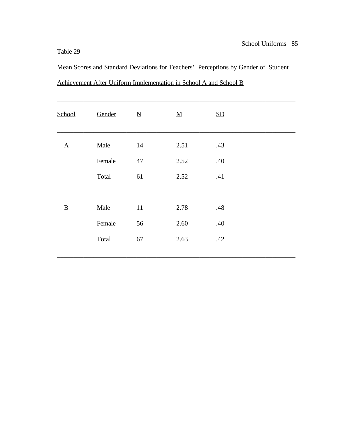Mean Scores and Standard Deviations for Teachers' Perceptions by Gender of Student Achievement After Uniform Implementation in School A and School B

| <b>School</b> | Gender | $\underline{\mathbf{N}}$ | $\underline{\mathbf{M}}$ | $\underline{\text{SD}}$ |
|---------------|--------|--------------------------|--------------------------|-------------------------|
| $\mathbf{A}$  | Male   | 14                       | 2.51                     | .43                     |
|               | Female | $47\,$                   | 2.52                     | .40                     |
|               | Total  | 61                       | 2.52                     | .41                     |
|               |        |                          |                          |                         |
| $\, {\bf B}$  | Male   | $11\,$                   | 2.78                     | .48                     |
|               | Female | 56                       | 2.60                     | .40                     |
|               | Total  | 67                       | 2.63                     | .42                     |
|               |        |                          |                          |                         |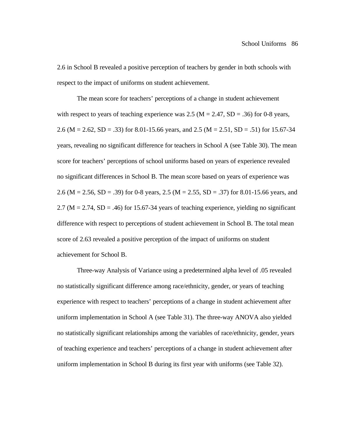2.6 in School B revealed a positive perception of teachers by gender in both schools with respect to the impact of uniforms on student achievement.

The mean score for teachers' perceptions of a change in student achievement with respect to years of teaching experience was  $2.5$  (M =  $2.47$ , SD =  $.36$ ) for 0-8 years, 2.6 (M = 2.62, SD = .33) for 8.01-15.66 years, and 2.5 (M = 2.51, SD = .51) for 15.67-34 years, revealing no significant difference for teachers in School A (see Table 30). The mean score for teachers' perceptions of school uniforms based on years of experience revealed no significant differences in School B. The mean score based on years of experience was 2.6 (M = 2.56, SD = .39) for 0-8 years, 2.5 (M = 2.55, SD = .37) for 8.01-15.66 years, and 2.7 ( $M = 2.74$ ,  $SD = .46$ ) for 15.67-34 years of teaching experience, yielding no significant difference with respect to perceptions of student achievement in School B. The total mean score of 2.63 revealed a positive perception of the impact of uniforms on student achievement for School B.

Three-way Analysis of Variance using a predetermined alpha level of .05 revealed no statistically significant difference among race/ethnicity, gender, or years of teaching experience with respect to teachers' perceptions of a change in student achievement after uniform implementation in School A (see Table 31). The three-way ANOVA also yielded no statistically significant relationships among the variables of race/ethnicity, gender, years of teaching experience and teachers' perceptions of a change in student achievement after uniform implementation in School B during its first year with uniforms (see Table 32).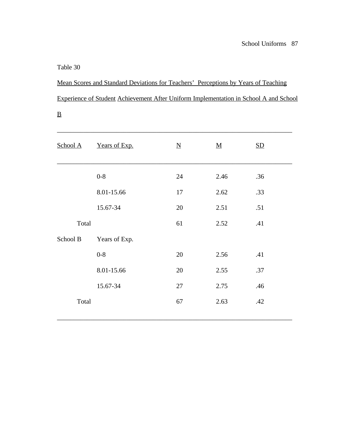$\underline{\mathbf{B}}$ 

Mean Scores and Standard Deviations for Teachers' Perceptions by Years of Teaching Experience of Student Achievement After Uniform Implementation in School A and School

| School A | Years of Exp. | $\underline{\rm N}$ | $\underline{\mathbf{M}}$ | SD  |  |
|----------|---------------|---------------------|--------------------------|-----|--|
|          | $0 - 8$       | 24                  | 2.46                     | .36 |  |
|          | 8.01-15.66    | 17                  | 2.62                     | .33 |  |
|          | 15.67-34      | 20                  | 2.51                     | .51 |  |
| Total    |               | 61                  | 2.52                     | .41 |  |
| School B | Years of Exp. |                     |                          |     |  |
|          | $0 - 8$       | 20                  | 2.56                     | .41 |  |
|          | 8.01-15.66    | 20                  | 2.55                     | .37 |  |
|          | 15.67-34      | 27                  | 2.75                     | .46 |  |
| Total    |               | 67                  | 2.63                     | .42 |  |
|          |               |                     |                          |     |  |

\_\_\_\_\_\_\_\_\_\_\_\_\_\_\_\_\_\_\_\_\_\_\_\_\_\_\_\_\_\_\_\_\_\_\_\_\_\_\_\_\_\_\_\_\_\_\_\_\_\_\_\_\_\_\_\_\_\_\_\_\_\_\_\_\_\_\_\_\_\_\_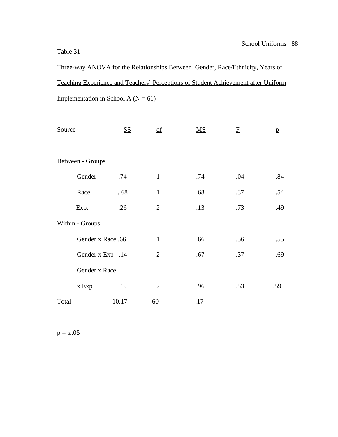Three-way ANOVA for the Relationships Between Gender, Race/Ethnicity, Years of Teaching Experience and Teachers' Perceptions of Student Achievement after Uniform Implementation in School A ( $N = 61$ )

| Source            | <u>SS</u>        | $\mathbf{d}\mathbf{f}$ | $\underline{\mathbf{M}}\underline{\mathbf{S}}$ | $\mathbf F$ | $\mathbf{p}$ |
|-------------------|------------------|------------------------|------------------------------------------------|-------------|--------------|
| Between - Groups  |                  |                        |                                                |             |              |
| Gender            | .74              | $\mathbf{1}$           | .74                                            | .04         | .84          |
| Race              | .68              | $\mathbf{1}$           | .68                                            | .37         | .54          |
| Exp.              | .26              | $\mathbf{2}$           | .13                                            | .73         | .49          |
| Within - Groups   |                  |                        |                                                |             |              |
| Gender x Race .66 |                  | $\mathbf{1}$           | .66                                            | .36         | .55          |
|                   | Gender x Exp .14 | $\overline{2}$         | .67                                            | .37         | .69          |
| Gender x Race     |                  |                        |                                                |             |              |
| x Exp             | .19              | $\overline{2}$         | .96                                            | .53         | .59          |
| Total             | 10.17            | 60                     | .17                                            |             |              |
|                   |                  |                        |                                                |             |              |

\_\_\_\_\_\_\_\_\_\_\_\_\_\_\_\_\_\_\_\_\_\_\_\_\_\_\_\_\_\_\_\_\_\_\_\_\_\_\_\_\_\_\_\_\_\_\_\_\_\_\_\_\_\_\_\_\_\_\_\_\_\_\_\_\_\_\_\_\_\_\_\_

 $p = \le .05$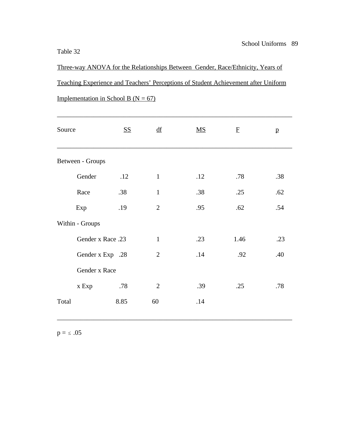Three-way ANOVA for the Relationships Between Gender, Race/Ethnicity, Years of Teaching Experience and Teachers' Perceptions of Student Achievement after Uniform Implementation in School B ( $N = 67$ )

| Source            | <u>SS</u> | df             | $\underline{\mathbf{M}}\underline{\mathbf{S}}$ | $\mathbf F$ | $\mathbf{p}$ |
|-------------------|-----------|----------------|------------------------------------------------|-------------|--------------|
| Between - Groups  |           |                |                                                |             |              |
| Gender            | .12       | $\mathbf{1}$   | .12                                            | .78         | .38          |
| Race              | .38       | $\mathbf{1}$   | .38                                            | .25         | .62          |
| Exp               | .19       | $\overline{2}$ | .95                                            | .62         | .54          |
| Within - Groups   |           |                |                                                |             |              |
| Gender x Race .23 |           | $\mathbf{1}$   | .23                                            | 1.46        | .23          |
| Gender x Exp .28  |           | $\overline{2}$ | .14                                            | .92         | .40          |
| Gender x Race     |           |                |                                                |             |              |
| x Exp             | .78       | $\overline{2}$ | .39                                            | .25         | .78          |
| Total             | 8.85      | 60             | .14                                            |             |              |
|                   |           |                |                                                |             |              |

\_\_\_\_\_\_\_\_\_\_\_\_\_\_\_\_\_\_\_\_\_\_\_\_\_\_\_\_\_\_\_\_\_\_\_\_\_\_\_\_\_\_\_\_\_\_\_\_\_\_\_\_\_\_\_\_\_\_\_\_\_\_\_\_\_\_\_\_\_\_\_

 $p=\texttt{ \le } .05$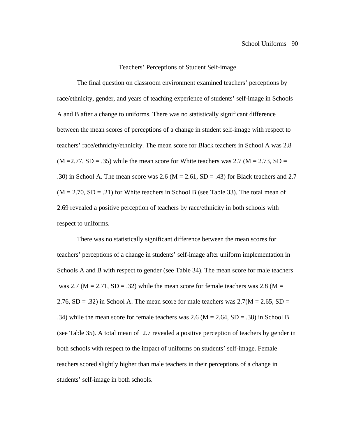#### Teachers' Perceptions of Student Self-image

The final question on classroom environment examined teachers' perceptions by race/ethnicity, gender, and years of teaching experience of students' self-image in Schools A and B after a change to uniforms. There was no statistically significant difference between the mean scores of perceptions of a change in student self-image with respect to teachers' race/ethnicity/ethnicity. The mean score for Black teachers in School A was 2.8  $(M = 2.77, SD = .35)$  while the mean score for White teachers was 2.7 ( $M = 2.73, SD =$ .30) in School A. The mean score was 2.6 ( $M = 2.61$ ,  $SD = .43$ ) for Black teachers and 2.7  $(M = 2.70, SD = .21)$  for White teachers in School B (see Table 33). The total mean of 2.69 revealed a positive perception of teachers by race/ethnicity in both schools with respect to uniforms.

There was no statistically significant difference between the mean scores for teachers' perceptions of a change in students' self-image after uniform implementation in Schools A and B with respect to gender (see Table 34). The mean score for male teachers was 2.7 ( $M = 2.71$ ,  $SD = .32$ ) while the mean score for female teachers was 2.8 ( $M =$ 2.76,  $SD = .32$ ) in School A. The mean score for male teachers was  $2.7(M = 2.65, SD =$ .34) while the mean score for female teachers was 2.6 ( $M = 2.64$ ,  $SD = .38$ ) in School B (see Table 35). A total mean of 2.7 revealed a positive perception of teachers by gender in both schools with respect to the impact of uniforms on students' self-image. Female teachers scored slightly higher than male teachers in their perceptions of a change in students' self-image in both schools.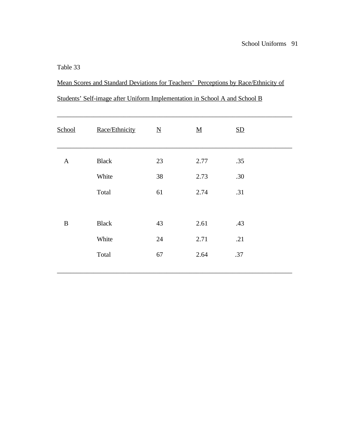Mean Scores and Standard Deviations for Teachers' Perceptions by Race/Ethnicity of Students' Self-image after Uniform Implementation in School A and School B

| School       | Race/Ethnicity | $\underline{\mathbf{N}}$ | <u>M</u> | SD  |  |
|--------------|----------------|--------------------------|----------|-----|--|
| $\mathbf{A}$ | <b>Black</b>   | 23                       | 2.77     | .35 |  |
|              | White          | 38                       | 2.73     | .30 |  |
|              | Total          | 61                       | 2.74     | .31 |  |
|              |                |                          |          |     |  |
| $\, {\bf B}$ | <b>Black</b>   | 43                       | 2.61     | .43 |  |
|              | White          | 24                       | 2.71     | .21 |  |
|              | Total          | 67                       | 2.64     | .37 |  |
|              |                |                          |          |     |  |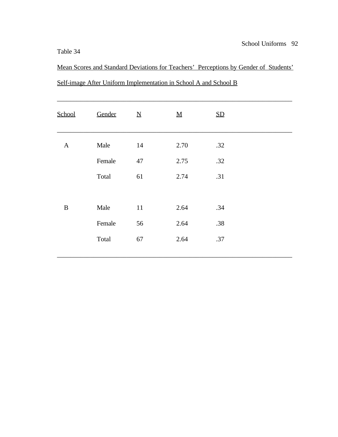Mean Scores and Standard Deviations for Teachers' Perceptions by Gender of Students' Self-image After Uniform Implementation in School A and School B

| <b>School</b> | Gender | $\underline{\mathbf{N}}$ | $\underline{M}$ | SD  |
|---------------|--------|--------------------------|-----------------|-----|
| $\mathbf{A}$  | Male   | 14                       | 2.70            | .32 |
|               | Female | 47                       | 2.75            | .32 |
|               | Total  | 61                       | 2.74            | .31 |
|               |        |                          |                 |     |
| $\, {\bf B}$  | Male   | 11                       | 2.64            | .34 |
|               | Female | 56                       | 2.64            | .38 |
|               | Total  | 67                       | 2.64            | .37 |
|               |        |                          |                 |     |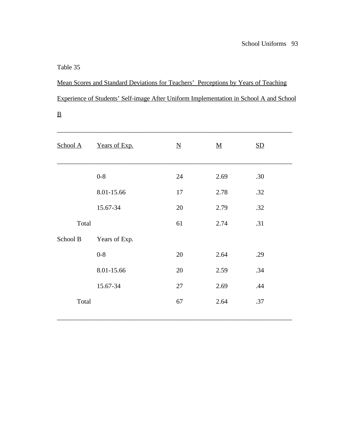# Mean Scores and Standard Deviations for Teachers' Perceptions by Years of Teaching Experience of Students' Self-image After Uniform Implementation in School A and School

| School A | Years of Exp. | $\underline{\rm N}$ | <u>M</u> | SD  |  |
|----------|---------------|---------------------|----------|-----|--|
|          | $0 - 8$       | 24                  | 2.69     | .30 |  |
|          | 8.01-15.66    | 17                  | 2.78     | .32 |  |
|          | 15.67-34      | 20                  | 2.79     | .32 |  |
| Total    |               | 61                  | 2.74     | .31 |  |
| School B | Years of Exp. |                     |          |     |  |
|          | $0 - 8$       | 20                  | 2.64     | .29 |  |
|          | 8.01-15.66    | 20                  | 2.59     | .34 |  |
|          | 15.67-34      | 27                  | 2.69     | .44 |  |
| Total    |               | 67                  | 2.64     | .37 |  |
|          |               |                     |          |     |  |

\_\_\_\_\_\_\_\_\_\_\_\_\_\_\_\_\_\_\_\_\_\_\_\_\_\_\_\_\_\_\_\_\_\_\_\_\_\_\_\_\_\_\_\_\_\_\_\_\_\_\_\_\_\_\_\_\_\_\_\_\_\_\_\_\_\_\_\_\_\_\_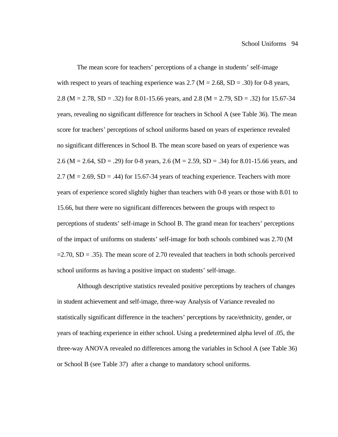The mean score for teachers' perceptions of a change in students' self-image with respect to years of teaching experience was 2.7 ( $M = 2.68$ , SD = .30) for 0-8 years, 2.8 (M = 2.78, SD = .32) for 8.01-15.66 years, and 2.8 (M = 2.79, SD = .32) for 15.67-34 years, revealing no significant difference for teachers in School A (see Table 36). The mean score for teachers' perceptions of school uniforms based on years of experience revealed no significant differences in School B. The mean score based on years of experience was 2.6 (M = 2.64, SD = .29) for 0-8 years, 2.6 (M = 2.59, SD = .34) for 8.01-15.66 years, and  $2.7 \, (\text{M} = 2.69, \text{SD} = .44)$  for 15.67-34 years of teaching experience. Teachers with more years of experience scored slightly higher than teachers with 0-8 years or those with 8.01 to 15.66, but there were no significant differences between the groups with respect to perceptions of students' self-image in School B. The grand mean for teachers' perceptions of the impact of uniforms on students' self-image for both schools combined was 2.70 (M  $=2.70$ , SD  $= .35$ ). The mean score of 2.70 revealed that teachers in both schools perceived school uniforms as having a positive impact on students' self-image.

Although descriptive statistics revealed positive perceptions by teachers of changes in student achievement and self-image, three-way Analysis of Variance revealed no statistically significant difference in the teachers' perceptions by race/ethnicity, gender, or years of teaching experience in either school. Using a predetermined alpha level of .05, the three-way ANOVA revealed no differences among the variables in School A (see Table 36) or School B (see Table 37) after a change to mandatory school uniforms.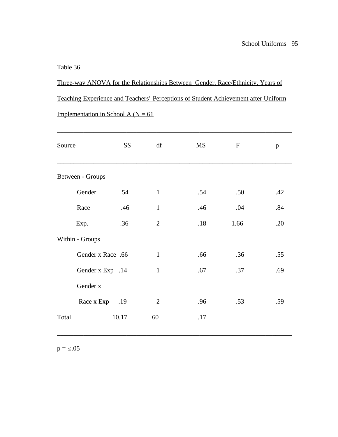Three-way ANOVA for the Relationships Between Gender, Race/Ethnicity, Years of Teaching Experience and Teachers' Perceptions of Student Achievement after Uniform Implementation in School A ( $N = 61$ )

| Source            | <b>SS</b> | df             | $\underline{\mathbf{M}}\underline{\mathbf{S}}$ | $\mathbf{F}$ | p   |
|-------------------|-----------|----------------|------------------------------------------------|--------------|-----|
| Between - Groups  |           |                |                                                |              |     |
| Gender            | .54       | $\mathbf{1}$   | .54                                            | .50          | .42 |
| Race              | .46       | $\mathbf{1}$   | .46                                            | .04          | .84 |
| Exp.              | .36       | $\overline{2}$ | .18                                            | 1.66         | .20 |
| Within - Groups   |           |                |                                                |              |     |
| Gender x Race .66 |           | $\mathbf{1}$   | .66                                            | .36          | .55 |
| Gender x Exp .14  |           | $\mathbf{1}$   | .67                                            | .37          | .69 |
| Gender x          |           |                |                                                |              |     |
| Race x Exp .19    |           | $\overline{2}$ | .96                                            | .53          | .59 |
| Total             | 10.17     | 60             | .17                                            |              |     |
|                   |           |                |                                                |              |     |

\_\_\_\_\_\_\_\_\_\_\_\_\_\_\_\_\_\_\_\_\_\_\_\_\_\_\_\_\_\_\_\_\_\_\_\_\_\_\_\_\_\_\_\_\_\_\_\_\_\_\_\_\_\_\_\_\_\_\_\_\_\_\_\_\_\_\_\_\_\_\_

 $p = \le .05$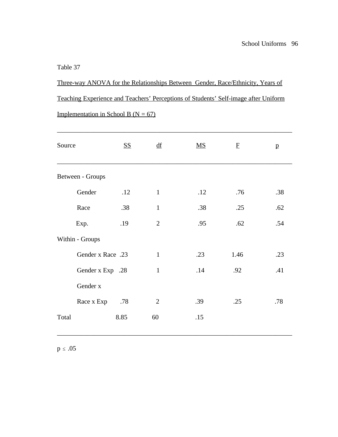Three-way ANOVA for the Relationships Between Gender, Race/Ethnicity, Years of Teaching Experience and Teachers' Perceptions of Students' Self-image after Uniform Implementation in School B ( $N = 67$ )

| Source            | <u>SS</u> | df             | $\overline{\text{MS}}$ | $\mathbf{F}$ | p   |
|-------------------|-----------|----------------|------------------------|--------------|-----|
| Between - Groups  |           |                |                        |              |     |
| Gender            | .12       | $\mathbf{1}$   | .12                    | .76          | .38 |
| Race              | .38       | $\mathbf{1}$   | .38                    | .25          | .62 |
| Exp.              | .19       | $\overline{2}$ | .95                    | .62          | .54 |
| Within - Groups   |           |                |                        |              |     |
| Gender x Race .23 |           | $\mathbf{1}$   | .23                    | 1.46         | .23 |
| Gender x Exp .28  |           | $\mathbf{1}$   | .14                    | .92          | .41 |
| Gender x          |           |                |                        |              |     |
| Race x Exp        | .78       | $\overline{2}$ | .39                    | .25          | .78 |
| Total             | 8.85      | 60             | .15                    |              |     |
|                   |           |                |                        |              |     |

\_\_\_\_\_\_\_\_\_\_\_\_\_\_\_\_\_\_\_\_\_\_\_\_\_\_\_\_\_\_\_\_\_\_\_\_\_\_\_\_\_\_\_\_\_\_\_\_\_\_\_\_\_\_\_\_\_\_\_\_\_\_\_\_\_\_\_\_\_\_\_

 $p \le .05$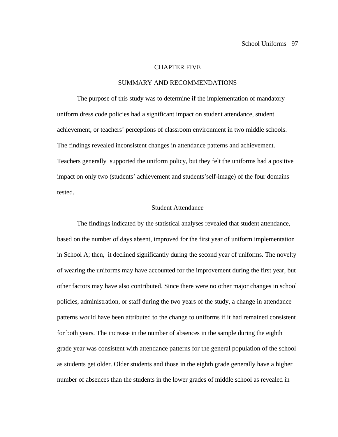#### CHAPTER FIVE

#### SUMMARY AND RECOMMENDATIONS

The purpose of this study was to determine if the implementation of mandatory uniform dress code policies had a significant impact on student attendance, student achievement, or teachers' perceptions of classroom environment in two middle schools. The findings revealed inconsistent changes in attendance patterns and achievement. Teachers generally supported the uniform policy, but they felt the uniforms had a positive impact on only two (students' achievement and students'self-image) of the four domains tested.

#### Student Attendance

The findings indicated by the statistical analyses revealed that student attendance, based on the number of days absent, improved for the first year of uniform implementation in School A; then, it declined significantly during the second year of uniforms. The novelty of wearing the uniforms may have accounted for the improvement during the first year, but other factors may have also contributed. Since there were no other major changes in school policies, administration, or staff during the two years of the study, a change in attendance patterns would have been attributed to the change to uniforms if it had remained consistent for both years. The increase in the number of absences in the sample during the eighth grade year was consistent with attendance patterns for the general population of the school as students get older. Older students and those in the eighth grade generally have a higher number of absences than the students in the lower grades of middle school as revealed in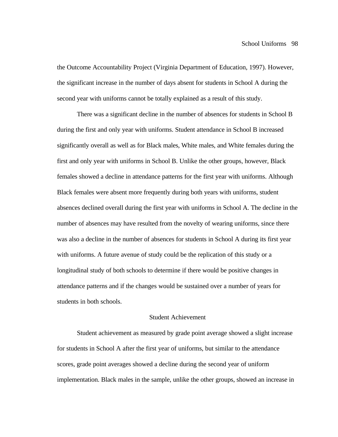the Outcome Accountability Project (Virginia Department of Education, 1997). However, the significant increase in the number of days absent for students in School A during the second year with uniforms cannot be totally explained as a result of this study.

There was a significant decline in the number of absences for students in School B during the first and only year with uniforms. Student attendance in School B increased significantly overall as well as for Black males, White males, and White females during the first and only year with uniforms in School B. Unlike the other groups, however, Black females showed a decline in attendance patterns for the first year with uniforms. Although Black females were absent more frequently during both years with uniforms, student absences declined overall during the first year with uniforms in School A. The decline in the number of absences may have resulted from the novelty of wearing uniforms, since there was also a decline in the number of absences for students in School A during its first year with uniforms. A future avenue of study could be the replication of this study or a longitudinal study of both schools to determine if there would be positive changes in attendance patterns and if the changes would be sustained over a number of years for students in both schools.

### Student Achievement

Student achievement as measured by grade point average showed a slight increase for students in School A after the first year of uniforms, but similar to the attendance scores, grade point averages showed a decline during the second year of uniform implementation. Black males in the sample, unlike the other groups, showed an increase in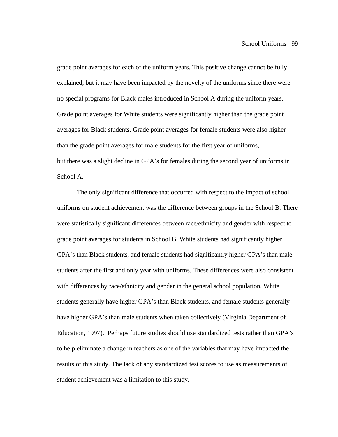grade point averages for each of the uniform years. This positive change cannot be fully explained, but it may have been impacted by the novelty of the uniforms since there were no special programs for Black males introduced in School A during the uniform years. Grade point averages for White students were significantly higher than the grade point averages for Black students. Grade point averages for female students were also higher than the grade point averages for male students for the first year of uniforms, but there was a slight decline in GPA's for females during the second year of uniforms in School A.

The only significant difference that occurred with respect to the impact of school uniforms on student achievement was the difference between groups in the School B. There were statistically significant differences between race/ethnicity and gender with respect to grade point averages for students in School B. White students had significantly higher GPA's than Black students, and female students had significantly higher GPA's than male students after the first and only year with uniforms. These differences were also consistent with differences by race/ethnicity and gender in the general school population. White students generally have higher GPA's than Black students, and female students generally have higher GPA's than male students when taken collectively (Virginia Department of Education, 1997). Perhaps future studies should use standardized tests rather than GPA's to help eliminate a change in teachers as one of the variables that may have impacted the results of this study. The lack of any standardized test scores to use as measurements of student achievement was a limitation to this study.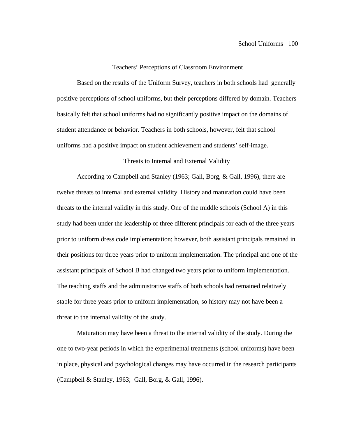#### Teachers' Perceptions of Classroom Environment

Based on the results of the Uniform Survey, teachers in both schools had generally positive perceptions of school uniforms, but their perceptions differed by domain. Teachers basically felt that school uniforms had no significantly positive impact on the domains of student attendance or behavior. Teachers in both schools, however, felt that school uniforms had a positive impact on student achievement and students' self-image.

#### Threats to Internal and External Validity

According to Campbell and Stanley (1963; Gall, Borg, & Gall, 1996), there are twelve threats to internal and external validity. History and maturation could have been threats to the internal validity in this study. One of the middle schools (School A) in this study had been under the leadership of three different principals for each of the three years prior to uniform dress code implementation; however, both assistant principals remained in their positions for three years prior to uniform implementation. The principal and one of the assistant principals of School B had changed two years prior to uniform implementation. The teaching staffs and the administrative staffs of both schools had remained relatively stable for three years prior to uniform implementation, so history may not have been a threat to the internal validity of the study.

Maturation may have been a threat to the internal validity of the study. During the one to two-year periods in which the experimental treatments (school uniforms) have been in place, physical and psychological changes may have occurred in the research participants (Campbell & Stanley, 1963; Gall, Borg, & Gall, 1996).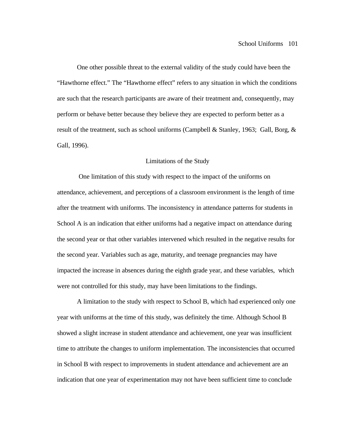One other possible threat to the external validity of the study could have been the "Hawthorne effect." The "Hawthorne effect" refers to any situation in which the conditions are such that the research participants are aware of their treatment and, consequently, may perform or behave better because they believe they are expected to perform better as a result of the treatment, such as school uniforms (Campbell & Stanley, 1963; Gall, Borg, & Gall, 1996).

#### Limitations of the Study

 One limitation of this study with respect to the impact of the uniforms on attendance, achievement, and perceptions of a classroom environment is the length of time after the treatment with uniforms. The inconsistency in attendance patterns for students in School A is an indication that either uniforms had a negative impact on attendance during the second year or that other variables intervened which resulted in the negative results for the second year. Variables such as age, maturity, and teenage pregnancies may have impacted the increase in absences during the eighth grade year, and these variables, which were not controlled for this study, may have been limitations to the findings.

A limitation to the study with respect to School B, which had experienced only one year with uniforms at the time of this study, was definitely the time. Although School B showed a slight increase in student attendance and achievement, one year was insufficient time to attribute the changes to uniform implementation. The inconsistencies that occurred in School B with respect to improvements in student attendance and achievement are an indication that one year of experimentation may not have been sufficient time to conclude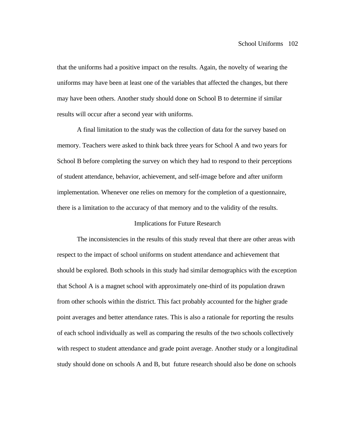that the uniforms had a positive impact on the results. Again, the novelty of wearing the uniforms may have been at least one of the variables that affected the changes, but there may have been others. Another study should done on School B to determine if similar results will occur after a second year with uniforms.

A final limitation to the study was the collection of data for the survey based on memory. Teachers were asked to think back three years for School A and two years for School B before completing the survey on which they had to respond to their perceptions of student attendance, behavior, achievement, and self-image before and after uniform implementation. Whenever one relies on memory for the completion of a questionnaire, there is a limitation to the accuracy of that memory and to the validity of the results.

#### Implications for Future Research

The inconsistencies in the results of this study reveal that there are other areas with respect to the impact of school uniforms on student attendance and achievement that should be explored. Both schools in this study had similar demographics with the exception that School A is a magnet school with approximately one-third of its population drawn from other schools within the district. This fact probably accounted for the higher grade point averages and better attendance rates. This is also a rationale for reporting the results of each school individually as well as comparing the results of the two schools collectively with respect to student attendance and grade point average. Another study or a longitudinal study should done on schools A and B, but future research should also be done on schools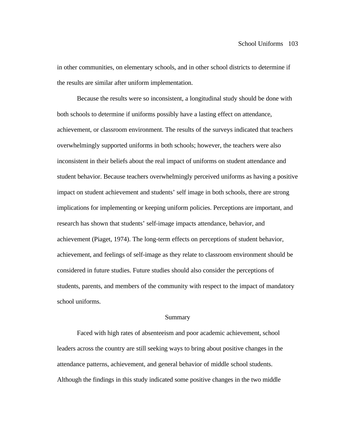in other communities, on elementary schools, and in other school districts to determine if the results are similar after uniform implementation.

Because the results were so inconsistent, a longitudinal study should be done with both schools to determine if uniforms possibly have a lasting effect on attendance, achievement, or classroom environment. The results of the surveys indicated that teachers overwhelmingly supported uniforms in both schools; however, the teachers were also inconsistent in their beliefs about the real impact of uniforms on student attendance and student behavior. Because teachers overwhelmingly perceived uniforms as having a positive impact on student achievement and students' self image in both schools, there are strong implications for implementing or keeping uniform policies. Perceptions are important, and research has shown that students' self-image impacts attendance, behavior, and achievement (Piaget, 1974). The long-term effects on perceptions of student behavior, achievement, and feelings of self-image as they relate to classroom environment should be considered in future studies. Future studies should also consider the perceptions of students, parents, and members of the community with respect to the impact of mandatory school uniforms.

#### Summary

Faced with high rates of absenteeism and poor academic achievement, school leaders across the country are still seeking ways to bring about positive changes in the attendance patterns, achievement, and general behavior of middle school students. Although the findings in this study indicated some positive changes in the two middle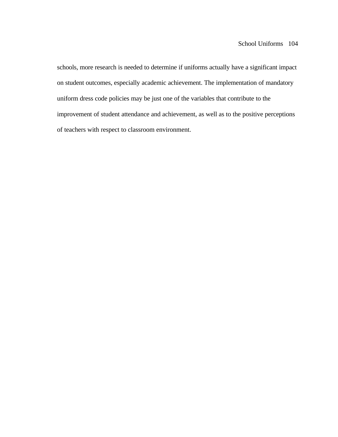schools, more research is needed to determine if uniforms actually have a significant impact on student outcomes, especially academic achievement. The implementation of mandatory uniform dress code policies may be just one of the variables that contribute to the improvement of student attendance and achievement, as well as to the positive perceptions of teachers with respect to classroom environment.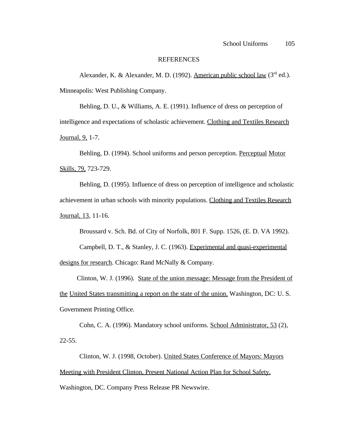#### REFERENCES

Alexander, K. & Alexander, M. D. (1992). American public school law  $(3<sup>rd</sup>$  ed.). Minneapolis: West Publishing Company.

Behling, D. U., & Williams, A. E. (1991). Influence of dress on perception of intelligence and expectations of scholastic achievement. Clothing and Textiles Research Journal, 9, 1-7.

Behling, D. (1994). School uniforms and person perception. Perceptual Motor Skills, 79, 723-729.

Behling, D. (1995). Influence of dress on perception of intelligence and scholastic achievement in urban schools with minority populations. Clothing and Textiles Research Journal, 13, 11-16.

Broussard v. Sch. Bd. of City of Norfolk, 801 F. Supp. 1526, (E. D. VA 1992).

Campbell, D. T., & Stanley, J. C. (1963). Experimental and quasi-experimental designs for research. Chicago: Rand McNally & Company.

 Clinton, W. J. (1996). State of the union message: Message from the President of the United States transmitting a report on the state of the union. Washington, DC: U. S. Government Printing Office.

Cohn, C. A. (1996). Mandatory school uniforms. School Administrator, 53 (2),  $22 - 55$ .

Clinton, W. J. (1998, October). United States Conference of Mayors: Mayors Meeting with President Clinton, Present National Action Plan for School Safety.

Washington, DC. Company Press Release PR Newswire.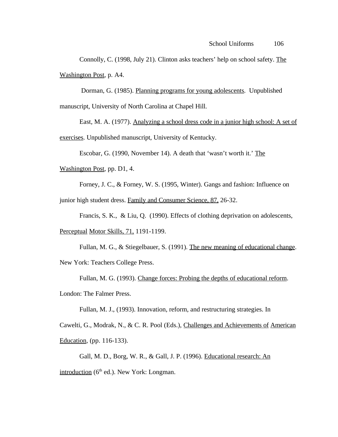Connolly, C. (1998, July 21). Clinton asks teachers' help on school safety. The Washington Post, p. A4.

 Dorman, G. (1985). Planning programs for young adolescents. Unpublished manuscript, University of North Carolina at Chapel Hill.

East, M. A. (1977). Analyzing a school dress code in a junior high school: A set of exercises. Unpublished manuscript, University of Kentucky.

Escobar, G. (1990, November 14). A death that 'wasn't worth it.' The

Washington Post, pp. D1, 4.

Forney, J. C., & Forney, W. S. (1995, Winter). Gangs and fashion: Influence on

junior high student dress. Family and Consumer Science, 87, 26-32.

Francis, S. K., & Liu, Q. (1990). Effects of clothing deprivation on adolescents,

Perceptual Motor Skills, 71, 1191-1199.

Fullan, M. G., & Stiegelbauer, S. (1991). The new meaning of educational change.

New York: Teachers College Press.

Fullan, M. G. (1993). Change forces: Probing the depths of educational reform.

London: The Falmer Press.

Fullan, M. J., (1993). Innovation, reform, and restructuring strategies. In

Cawelti, G., Modrak, N., & C. R. Pool (Eds.), Challenges and Achievements of American Education, (pp. 116-133).

Gall, M. D., Borg, W. R., & Gall, J. P. (1996). Educational research: An introduction ( $6<sup>th</sup>$  ed.). New York: Longman.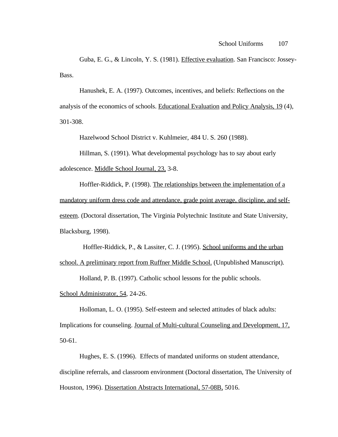Guba, E. G., & Lincoln, Y. S. (1981). Effective evaluation. San Francisco: Jossey-Bass.

Hanushek, E. A. (1997). Outcomes, incentives, and beliefs: Reflections on the analysis of the economics of schools. Educational Evaluation and Policy Analysis, 19 (4), 301-308.

Hazelwood School District v. Kuhlmeier, 484 U. S. 260 (1988).

Hillman, S. (1991). What developmental psychology has to say about early adolescence. Middle School Journal, 23, 3-8.

Hoffler-Riddick, P. (1998). The relationships between the implementation of a mandatory uniform dress code and attendance, grade point average, discipline, and selfesteem. (Doctoral dissertation, The Virginia Polytechnic Institute and State University, Blacksburg, 1998).

Hoffler-Riddick, P., & Lassiter, C. J. (1995). School uniforms and the urban

school. A preliminary report from Ruffner Middle School. (Unpublished Manuscript).

Holland, P. B. (1997). Catholic school lessons for the public schools.

School Administrator, 54, 24-26.

Holloman, L. O. (1995). Self-esteem and selected attitudes of black adults: Implications for counseling. Journal of Multi-cultural Counseling and Development, 17, 50-61.

Hughes, E. S. (1996). Effects of mandated uniforms on student attendance, discipline referrals, and classroom environment (Doctoral dissertation, The University of Houston, 1996). Dissertation Abstracts International, 57-08B, 5016.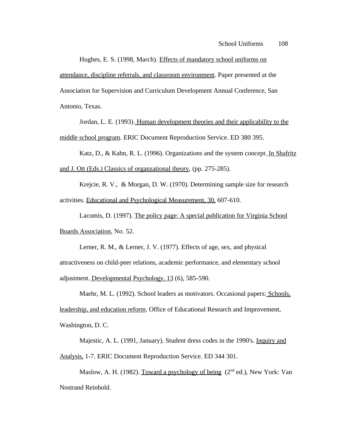Hughes, E. S. (1998, March). Effects of mandatory school uniforms on attendance, discipline referrals, and classroom environment. Paper presented at the Association for Supervision and Curriculum Development Annual Conference, San Antonio, Texas.

Jordan, L. E. (1993). Human development theories and their applicability to the middle school program. ERIC Document Reproduction Service. ED 380 395.

Katz, D., & Kahn, R. L. (1996). Organizations and the system concept. In Shafritz and J. Ott (Eds.) Classics of organzational theory, (pp. 275-285).

Krejcie, R. V., & Morgan, D. W. (1970). Determining sample size for research activities. Educational and Psychological Measurement, 30, 607-610.

Lacomis, D. (1997). The policy page: A special publication for Virginia School Boards Association, No. 52.

Lerner, R. M., & Lerner, J. V. (1977). Effects of age, sex, and physical attractiveness on child-peer relations, academic performance, and elementary school adjustment. Developmental Psychology, 13 (6), 585-590.

Maehr, M. L. (1992). School leaders as motivators. Occasional papers: Schools, leadership, and education reform. Office of Educational Research and Improvement, Washington, D. C.

Majestic, A. L. (1991, January). Student dress codes in the 1990's. Inquiry and Analysis, 1-7. ERIC Document Reproduction Service. ED 344 301.

Maslow, A. H. (1982). Toward a psychology of being  $(2<sup>nd</sup> ed.)$ , New York: Van Nostrand Reinhold.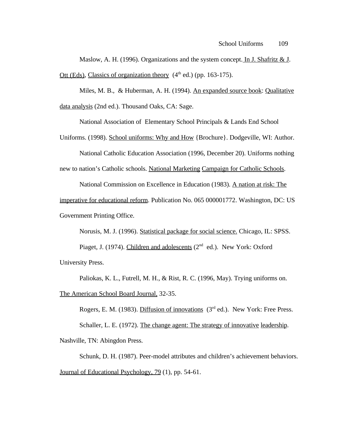Maslow, A. H. (1996). Organizations and the system concept. In J. Shafritz  $& J.$ Ott (Eds), Classics of organization theory  $(4<sup>th</sup>$  ed.) (pp. 163-175).

Miles, M. B., & Huberman, A. H. (1994). An expanded source book: Qualitative data analysis (2nd ed.). Thousand Oaks, CA: Sage.

National Association of Elementary School Principals & Lands End School

Uniforms. (1998). School uniforms: Why and How {Brochure}. Dodgeville, WI: Author.

National Catholic Education Association (1996, December 20). Uniforms nothing

new to nation's Catholic schools. National Marketing Campaign for Catholic Schools.

National Commission on Excellence in Education (1983). A nation at risk: The

imperative for educational reform. Publication No. 065 000001772. Washington, DC: US Government Printing Office.

Norusis, M. J. (1996). Statistical package for social science. Chicago, IL: SPSS.

Piaget, J. (1974). Children and adolescents ( $2<sup>nd</sup>$  ed.). New York: Oxford University Press.

Paliokas, K. L., Futrell, M. H., & Rist, R. C. (1996, May). Trying uniforms on.

The American School Board Journal, 32-35.

Rogers, E. M. (1983). Diffusion of innovations  $(3<sup>rd</sup>$  ed.). New York: Free Press. Schaller, L. E. (1972). The change agent: The strategy of innovative leadership. Nashville, TN: Abingdon Press.

Schunk, D. H. (1987). Peer-model attributes and children's achievement behaviors. Journal of Educational Psychology, 79 (1), pp. 54-61.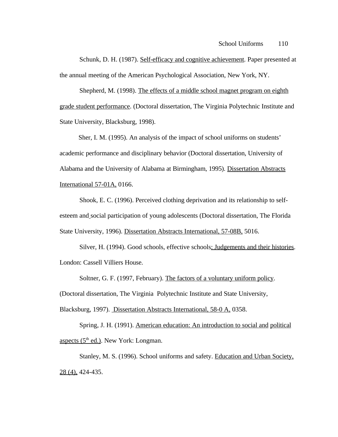Schunk, D. H. (1987). Self-efficacy and cognitive achievement. Paper presented at the annual meeting of the American Psychological Association, New York, NY.

Shepherd, M. (1998). The effects of a middle school magnet program on eighth grade student performance. (Doctoral dissertation, The Virginia Polytechnic Institute and State University, Blacksburg, 1998).

 Sher, I. M. (1995). An analysis of the impact of school uniforms on students' academic performance and disciplinary behavior (Doctoral dissertation, University of Alabama and the University of Alabama at Birmingham, 1995). Dissertation Abstracts International 57-01A, 0166.

Shook, E. C. (1996). Perceived clothing deprivation and its relationship to selfesteem and social participation of young adolescents (Doctoral dissertation, The Florida State University, 1996). Dissertation Abstracts International, 57-08B, 5016.

Silver, H. (1994). Good schools, effective schools: Judgements and their histories. London: Cassell Villiers House.

Soltner, G. F. (1997, February). The factors of a voluntary uniform policy.

(Doctoral dissertation, The Virginia Polytechnic Institute and State University,

Blacksburg, 1997). Dissertation Abstracts International, 58-0 A, 0358.

Spring, J. H. (1991). American education: An introduction to social and political aspects  $(5<sup>th</sup>$  ed.). New York: Longman.

Stanley, M. S. (1996). School uniforms and safety. Education and Urban Society, 28 (4), 424-435.